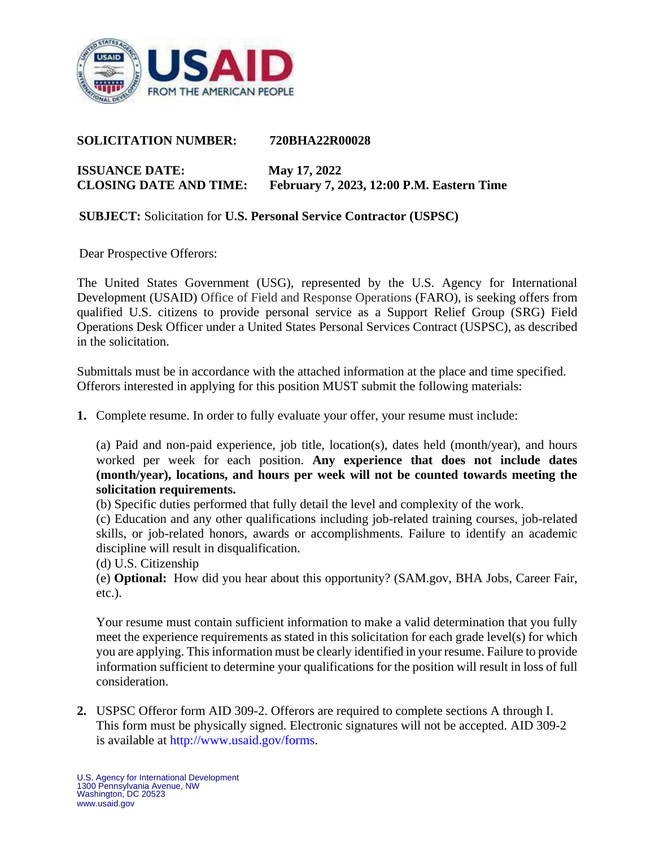

### **SOLICITATION NUMBER: 720BHA22R00028**

# **ISSUANCE DATE: May 17, 2022 CLOSING DATE AND TIME: February 7, 2023, 12:00 P.M. Eastern Time**

#### **SUBJECT:** Solicitation for **U.S. Personal Service Contractor (USPSC)**

Dear Prospective Offerors:

The United States Government (USG), represented by the U.S. Agency for International Development (USAID) Office of Field and Response Operations (FARO), is seeking offers from qualified U.S. citizens to provide personal service as a Support Relief Group (SRG) Field Operations Desk Officer under a United States Personal Services Contract (USPSC), as described in the solicitation.

Submittals must be in accordance with the attached information at the place and time specified. Offerors interested in applying for this position MUST submit the following materials:

**1.** Complete resume. In order to fully evaluate your offer, your resume must include:

(a) Paid and non-paid experience, job title, location(s), dates held (month/year), and hours worked per week for each position. **Any experience that does not include dates (month/year), locations, and hours per week will not be counted towards meeting the solicitation requirements.**

(b) Specific duties performed that fully detail the level and complexity of the work.

(c) Education and any other qualifications including job-related training courses, job-related skills, or job-related honors, awards or accomplishments. Failure to identify an academic discipline will result in disqualification.

(d) U.S. Citizenship

(e) **Optional:** How did you hear about this opportunity? (SAM.gov, BHA Jobs, Career Fair, etc.).

Your resume must contain sufficient information to make a valid determination that you fully meet the experience requirements as stated in this solicitation for each grade level(s) for which you are applying. This information must be clearly identified in your resume. Failure to provide information sufficient to determine your qualifications for the position will result in loss of full consideration.

**2.** USPSC Offeror form AID 309-2. Offerors are required to complete sections A through I. This form must be physically signed. Electronic signatures will not be accepted. AID 309-2 is available at http://www.usaid.gov/forms.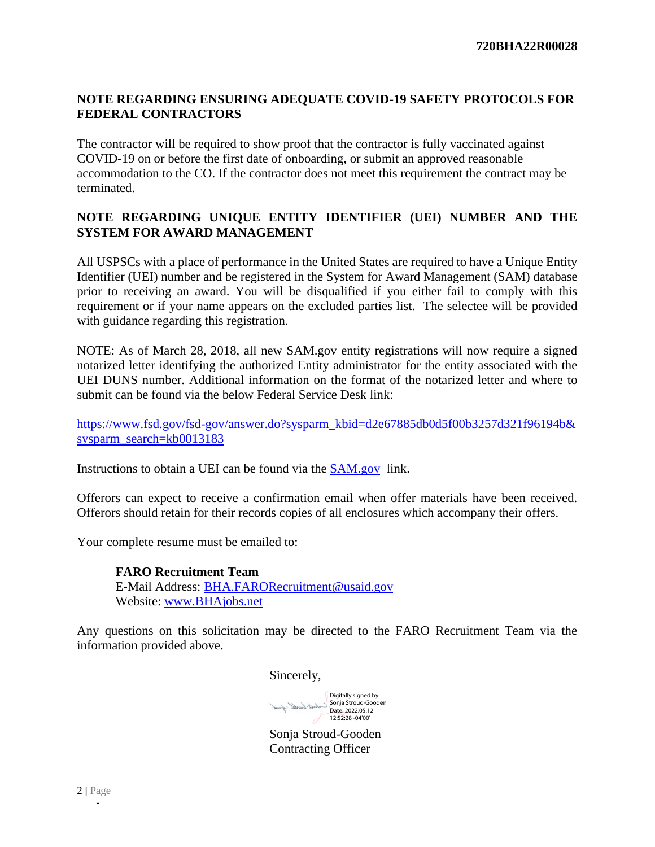**720BHA22R00028**

# **NOTE REGARDING ENSURING ADEQUATE COVID-19 SAFETY PROTOCOLS FOR FEDERAL CONTRACTORS**

The contractor will be required to show proof that the contractor is fully vaccinated against COVID-19 on or before the first date of onboarding, or submit an approved reasonable accommodation to the CO. If the contractor does not meet this requirement the contract may be terminated.

## **NOTE REGARDING UNIQUE ENTITY IDENTIFIER (UEI) NUMBER AND THE SYSTEM FOR AWARD MANAGEMENT**

All USPSCs with a place of performance in the United States are required to have a Unique Entity Identifier (UEI) number and be registered in the System for Award Management (SAM) database prior to receiving an award. You will be disqualified if you either fail to comply with this requirement or if your name appears on the excluded parties list. The selectee will be provided with guidance regarding this registration.

NOTE: As of March 28, 2018, all new SAM.gov entity registrations will now require a signed notarized letter identifying the authorized Entity administrator for the entity associated with the UEI DUNS number. Additional information on the format of the notarized letter and where to submit can be found via the below Federal Service Desk link:

[https://www.fsd.gov/fsd-gov/answer.do?sysparm\\_kbid=d2e67885db0d5f00b3257d321f96194b&](https://www.fsd.gov/fsd-gov/answer.do?sysparm_kbid=d2e67885db0d5f00b3257d321f96194b&) [sysparm\\_search=kb0013183](https://www.fsd.gov/fsd-gov/answer.do?sysparm_kbid=d2e67885db0d5f00b3257d321f96194b&)

Instructions to obtain a UEI can be found via the [SAM.gov](https://www.fsd.gov/gsafsd_sp?id=kb_article_view&sysparm_article=KB0050039&sys_kb_id=52b5053e1bee8d54937fa64ce54bcbb3&spa=1) link.

Offerors can expect to receive a confirmation email when offer materials have been received. Offerors should retain for their records copies of all enclosures which accompany their offers.

Your complete resume must be emailed to:

**FARO Recruitment Team** E-Mail Address: [BHA.FARORecruitment@usaid.gov](mailto:BHA.FARORecruitment@usaid.gov) Website: [www.BHAjobs.net](http://www.bhajobs.net/)

Any questions on this solicitation may be directed to the FARO Recruitment Team via the information provided above.

Sincerely,

Digitally signed by Sonja Stroud-Gooden Date: 2022.05.12 12:52:28 -04'00'

Sonja Stroud-Gooden Contracting Officer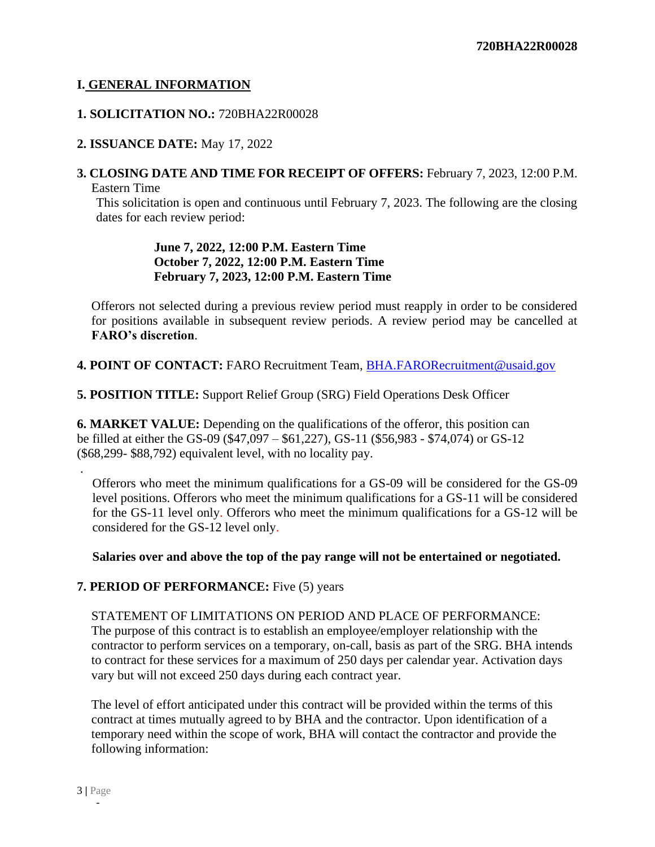# **I. GENERAL INFORMATION**

### **1. SOLICITATION NO.:** 720BHA22R00028

### **2. ISSUANCE DATE:** May 17, 2022

**3. CLOSING DATE AND TIME FOR RECEIPT OF OFFERS:** February 7, 2023, 12:00 P.M. Eastern Time

This solicitation is open and continuous until February 7, 2023. The following are the closing dates for each review period:

### **June 7, 2022, 12:00 P.M. Eastern Time October 7, 2022, 12:00 P.M. Eastern Time February 7, 2023, 12:00 P.M. Eastern Time**

Offerors not selected during a previous review period must reapply in order to be considered for positions available in subsequent review periods. A review period may be cancelled at **FARO's discretion**.

**4. POINT OF CONTACT:** FARO Recruitment Team, **BHA.FARORecruitment@usaid.gov** 

**5. POSITION TITLE:** Support Relief Group (SRG) Field Operations Desk Officer

**6. MARKET VALUE:** Depending on the qualifications of the offeror, this position can be filled at either the GS-09 (\$47,097 – \$61,227), GS-11 (\$56,983 - \$74,074) or GS-12 (\$68,299- \$88,792) equivalent level, with no locality pay.

Offerors who meet the minimum qualifications for a GS-09 will be considered for the GS-09 level positions. Offerors who meet the minimum qualifications for a GS-11 will be considered for the GS-11 level only. Offerors who meet the minimum qualifications for a GS-12 will be considered for the GS-12 level only.

**Salaries over and above the top of the pay range will not be entertained or negotiated.**

### **7. PERIOD OF PERFORMANCE:** Five (5) years

STATEMENT OF LIMITATIONS ON PERIOD AND PLACE OF PERFORMANCE: The purpose of this contract is to establish an employee/employer relationship with the contractor to perform services on a temporary, on-call, basis as part of the SRG. BHA intends to contract for these services for a maximum of 250 days per calendar year. Activation days vary but will not exceed 250 days during each contract year.

The level of effort anticipated under this contract will be provided within the terms of this contract at times mutually agreed to by BHA and the contractor. Upon identification of a temporary need within the scope of work, BHA will contact the contractor and provide the following information:

.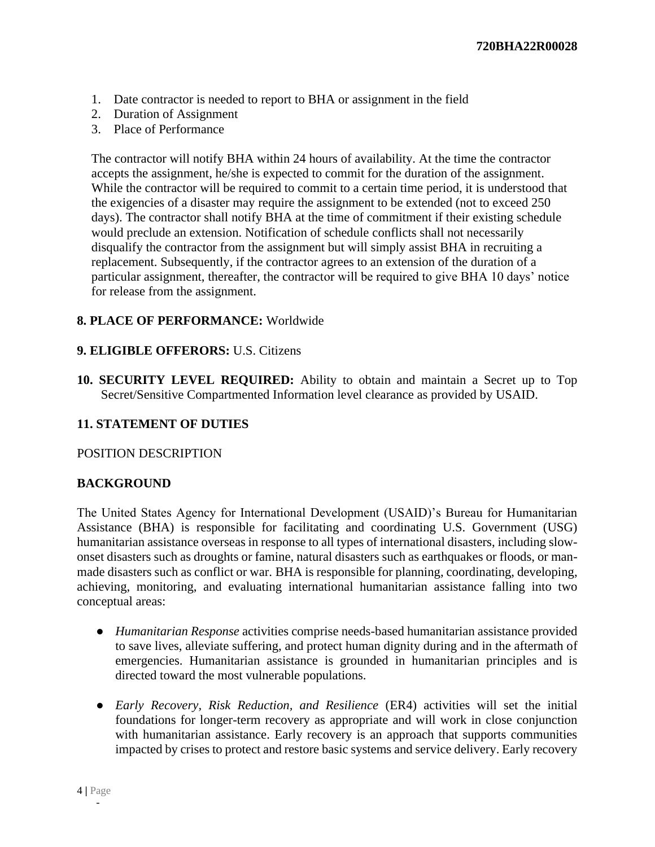- 1. Date contractor is needed to report to BHA or assignment in the field
- 2. Duration of Assignment
- 3. Place of Performance

The contractor will notify BHA within 24 hours of availability. At the time the contractor accepts the assignment, he/she is expected to commit for the duration of the assignment. While the contractor will be required to commit to a certain time period, it is understood that the exigencies of a disaster may require the assignment to be extended (not to exceed 250 days). The contractor shall notify BHA at the time of commitment if their existing schedule would preclude an extension. Notification of schedule conflicts shall not necessarily disqualify the contractor from the assignment but will simply assist BHA in recruiting a replacement. Subsequently, if the contractor agrees to an extension of the duration of a particular assignment, thereafter, the contractor will be required to give BHA 10 days' notice for release from the assignment.

# **8. PLACE OF PERFORMANCE:** Worldwide

### **9. ELIGIBLE OFFERORS:** U.S. Citizens

**10. SECURITY LEVEL REQUIRED:** Ability to obtain and maintain a Secret up to Top Secret/Sensitive Compartmented Information level clearance as provided by USAID.

## **11. STATEMENT OF DUTIES**

### POSITION DESCRIPTION

### **BACKGROUND**

The United States Agency for International Development (USAID)'s Bureau for Humanitarian Assistance (BHA) is responsible for facilitating and coordinating U.S. Government (USG) humanitarian assistance overseas in response to all types of international disasters, including slowonset disasters such as droughts or famine, natural disasters such as earthquakes or floods, or manmade disasters such as conflict or war. BHA is responsible for planning, coordinating, developing, achieving, monitoring, and evaluating international humanitarian assistance falling into two conceptual areas:

- *Humanitarian Response* activities comprise needs-based humanitarian assistance provided to save lives, alleviate suffering, and protect human dignity during and in the aftermath of emergencies. Humanitarian assistance is grounded in humanitarian principles and is directed toward the most vulnerable populations.
- *Early Recovery, Risk Reduction, and Resilience* (ER4) activities will set the initial foundations for longer-term recovery as appropriate and will work in close conjunction with humanitarian assistance. Early recovery is an approach that supports communities impacted by crises to protect and restore basic systems and service delivery. Early recovery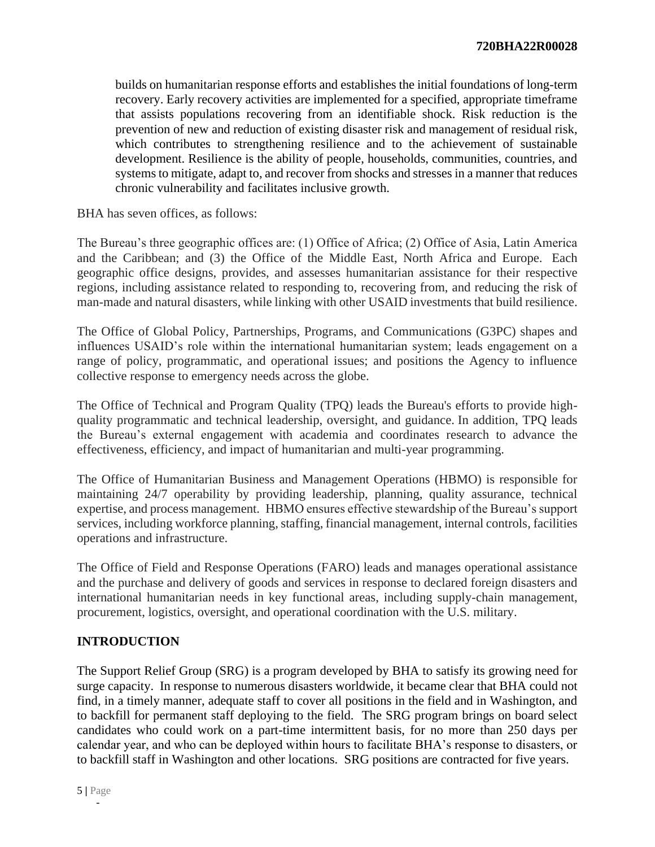builds on humanitarian response efforts and establishes the initial foundations of long-term recovery. Early recovery activities are implemented for a specified, appropriate timeframe that assists populations recovering from an identifiable shock. Risk reduction is the prevention of new and reduction of existing disaster risk and management of residual risk, which contributes to strengthening resilience and to the achievement of sustainable development. Resilience is the ability of people, households, communities, countries, and systems to mitigate, adapt to, and recover from shocks and stresses in a manner that reduces chronic vulnerability and facilitates inclusive growth.

BHA has seven offices, as follows:

The Bureau's three geographic offices are: (1) Office of Africa; (2) Office of Asia, Latin America and the Caribbean; and (3) the Office of the Middle East, North Africa and Europe. Each geographic office designs, provides, and assesses humanitarian assistance for their respective regions, including assistance related to responding to, recovering from, and reducing the risk of man-made and natural disasters, while linking with other USAID investments that build resilience.

The Office of Global Policy, Partnerships, Programs, and Communications (G3PC) shapes and influences USAID's role within the international humanitarian system; leads engagement on a range of policy, programmatic, and operational issues; and positions the Agency to influence collective response to emergency needs across the globe.

The Office of Technical and Program Quality (TPQ) leads the Bureau's efforts to provide highquality programmatic and technical leadership, oversight, and guidance. In addition, TPQ leads the Bureau's external engagement with academia and coordinates research to advance the effectiveness, efficiency, and impact of humanitarian and multi-year programming.

The Office of Humanitarian Business and Management Operations (HBMO) is responsible for maintaining 24/7 operability by providing leadership, planning, quality assurance, technical expertise, and process management. HBMO ensures effective stewardship of the Bureau's support services, including workforce planning, staffing, financial management, internal controls, facilities operations and infrastructure.

The Office of Field and Response Operations (FARO) leads and manages operational assistance and the purchase and delivery of goods and services in response to declared foreign disasters and international humanitarian needs in key functional areas, including supply-chain management, procurement, logistics, oversight, and operational coordination with the U.S. military.

# **INTRODUCTION**

The Support Relief Group (SRG) is a program developed by BHA to satisfy its growing need for surge capacity. In response to numerous disasters worldwide, it became clear that BHA could not find, in a timely manner, adequate staff to cover all positions in the field and in Washington, and to backfill for permanent staff deploying to the field. The SRG program brings on board select candidates who could work on a part-time intermittent basis, for no more than 250 days per calendar year, and who can be deployed within hours to facilitate BHA's response to disasters, or to backfill staff in Washington and other locations. SRG positions are contracted for five years.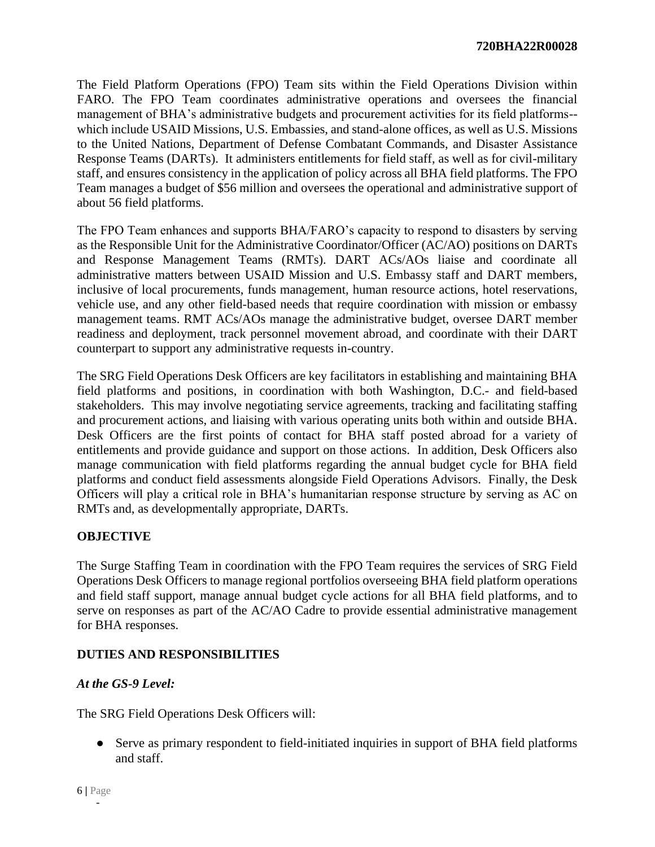The Field Platform Operations (FPO) Team sits within the Field Operations Division within FARO. The FPO Team coordinates administrative operations and oversees the financial management of BHA's administrative budgets and procurement activities for its field platforms- which include USAID Missions, U.S. Embassies, and stand-alone offices, as well as U.S. Missions to the United Nations, Department of Defense Combatant Commands, and Disaster Assistance Response Teams (DARTs). It administers entitlements for field staff, as well as for civil-military staff, and ensures consistency in the application of policy across all BHA field platforms. The FPO Team manages a budget of \$56 million and oversees the operational and administrative support of about 56 field platforms.

The FPO Team enhances and supports BHA/FARO's capacity to respond to disasters by serving as the Responsible Unit for the Administrative Coordinator/Officer (AC/AO) positions on DARTs and Response Management Teams (RMTs). DART ACs/AOs liaise and coordinate all administrative matters between USAID Mission and U.S. Embassy staff and DART members, inclusive of local procurements, funds management, human resource actions, hotel reservations, vehicle use, and any other field-based needs that require coordination with mission or embassy management teams. RMT ACs/AOs manage the administrative budget, oversee DART member readiness and deployment, track personnel movement abroad, and coordinate with their DART counterpart to support any administrative requests in-country.

The SRG Field Operations Desk Officers are key facilitators in establishing and maintaining BHA field platforms and positions, in coordination with both Washington, D.C.- and field-based stakeholders. This may involve negotiating service agreements, tracking and facilitating staffing and procurement actions, and liaising with various operating units both within and outside BHA. Desk Officers are the first points of contact for BHA staff posted abroad for a variety of entitlements and provide guidance and support on those actions. In addition, Desk Officers also manage communication with field platforms regarding the annual budget cycle for BHA field platforms and conduct field assessments alongside Field Operations Advisors. Finally, the Desk Officers will play a critical role in BHA's humanitarian response structure by serving as AC on RMTs and, as developmentally appropriate, DARTs.

# **OBJECTIVE**

The Surge Staffing Team in coordination with the FPO Team requires the services of SRG Field Operations Desk Officers to manage regional portfolios overseeing BHA field platform operations and field staff support, manage annual budget cycle actions for all BHA field platforms, and to serve on responses as part of the AC/AO Cadre to provide essential administrative management for BHA responses.

# **DUTIES AND RESPONSIBILITIES**

### *At the GS-9 Level:*

The SRG Field Operations Desk Officers will:

● Serve as primary respondent to field-initiated inquiries in support of BHA field platforms and staff.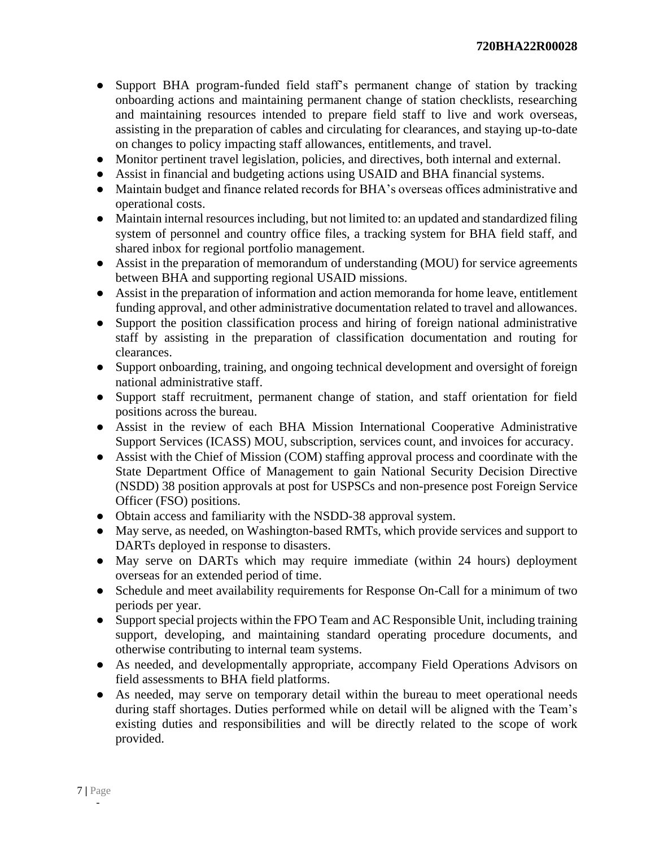- Support BHA program-funded field staff's permanent change of station by tracking onboarding actions and maintaining permanent change of station checklists, researching and maintaining resources intended to prepare field staff to live and work overseas, assisting in the preparation of cables and circulating for clearances, and staying up-to-date on changes to policy impacting staff allowances, entitlements, and travel.
- Monitor pertinent travel legislation, policies, and directives, both internal and external.
- Assist in financial and budgeting actions using USAID and BHA financial systems.
- Maintain budget and finance related records for BHA's overseas offices administrative and operational costs.
- Maintain internal resources including, but not limited to: an updated and standardized filing system of personnel and country office files, a tracking system for BHA field staff, and shared inbox for regional portfolio management.
- Assist in the preparation of memorandum of understanding (MOU) for service agreements between BHA and supporting regional USAID missions.
- Assist in the preparation of information and action memoranda for home leave, entitlement funding approval, and other administrative documentation related to travel and allowances.
- Support the position classification process and hiring of foreign national administrative staff by assisting in the preparation of classification documentation and routing for clearances.
- Support onboarding, training, and ongoing technical development and oversight of foreign national administrative staff.
- Support staff recruitment, permanent change of station, and staff orientation for field positions across the bureau.
- Assist in the review of each BHA Mission International Cooperative Administrative Support Services (ICASS) MOU, subscription, services count, and invoices for accuracy.
- Assist with the Chief of Mission (COM) staffing approval process and coordinate with the State Department Office of Management to gain National Security Decision Directive (NSDD) 38 position approvals at post for USPSCs and non-presence post Foreign Service Officer (FSO) positions.
- Obtain access and familiarity with the NSDD-38 approval system.
- May serve, as needed, on Washington-based RMTs, which provide services and support to DARTs deployed in response to disasters.
- May serve on DARTs which may require immediate (within 24 hours) deployment overseas for an extended period of time.
- Schedule and meet availability requirements for Response On-Call for a minimum of two periods per year.
- Support special projects within the FPO Team and AC Responsible Unit, including training support, developing, and maintaining standard operating procedure documents, and otherwise contributing to internal team systems.
- As needed, and developmentally appropriate, accompany Field Operations Advisors on field assessments to BHA field platforms.
- As needed, may serve on temporary detail within the bureau to meet operational needs during staff shortages. Duties performed while on detail will be aligned with the Team's existing duties and responsibilities and will be directly related to the scope of work provided.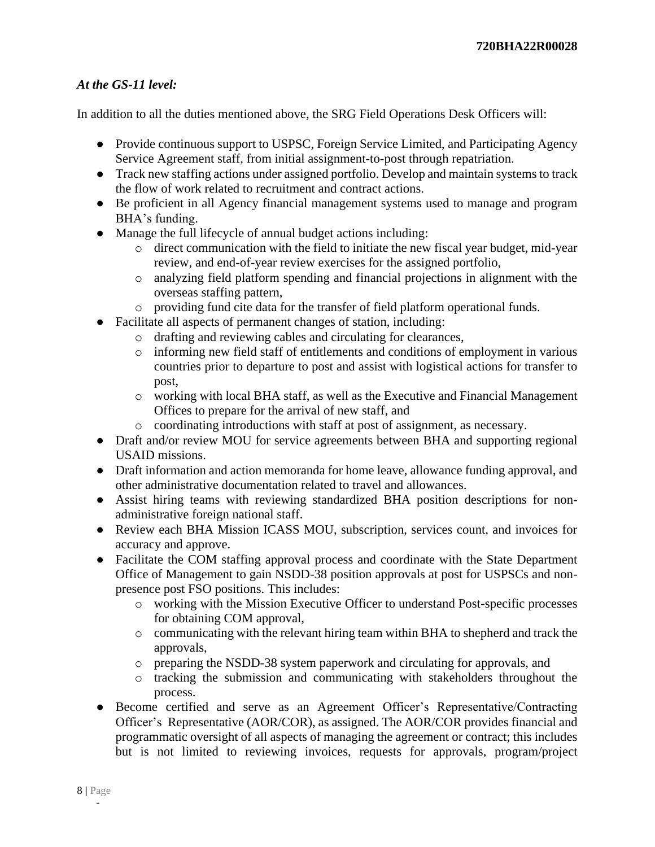# *At the GS-11 level:*

In addition to all the duties mentioned above, the SRG Field Operations Desk Officers will:

- Provide continuous support to USPSC, Foreign Service Limited, and Participating Agency Service Agreement staff, from initial assignment-to-post through repatriation.
- Track new staffing actions under assigned portfolio. Develop and maintain systems to track the flow of work related to recruitment and contract actions.
- Be proficient in all Agency financial management systems used to manage and program BHA's funding.
- Manage the full lifecycle of annual budget actions including:
	- $\circ$  direct communication with the field to initiate the new fiscal year budget, mid-year review, and end-of-year review exercises for the assigned portfolio,
	- o analyzing field platform spending and financial projections in alignment with the overseas staffing pattern,
	- o providing fund cite data for the transfer of field platform operational funds.
- Facilitate all aspects of permanent changes of station, including:
	- o drafting and reviewing cables and circulating for clearances,
	- $\circ$  informing new field staff of entitlements and conditions of employment in various countries prior to departure to post and assist with logistical actions for transfer to post,
	- $\circ$  working with local BHA staff, as well as the Executive and Financial Management Offices to prepare for the arrival of new staff, and
	- o coordinating introductions with staff at post of assignment, as necessary.
- Draft and/or review MOU for service agreements between BHA and supporting regional USAID missions.
- Draft information and action memoranda for home leave, allowance funding approval, and other administrative documentation related to travel and allowances.
- Assist hiring teams with reviewing standardized BHA position descriptions for nonadministrative foreign national staff.
- Review each BHA Mission ICASS MOU, subscription, services count, and invoices for accuracy and approve.
- Facilitate the COM staffing approval process and coordinate with the State Department Office of Management to gain NSDD-38 position approvals at post for USPSCs and nonpresence post FSO positions. This includes:
	- o working with the Mission Executive Officer to understand Post-specific processes for obtaining COM approval,
	- o communicating with the relevant hiring team within BHA to shepherd and track the approvals,
	- o preparing the NSDD-38 system paperwork and circulating for approvals, and
	- o tracking the submission and communicating with stakeholders throughout the process.
- Become certified and serve as an Agreement Officer's Representative/Contracting Officer's Representative (AOR/COR), as assigned. The AOR/COR provides financial and programmatic oversight of all aspects of managing the agreement or contract; this includes but is not limited to reviewing invoices, requests for approvals, program/project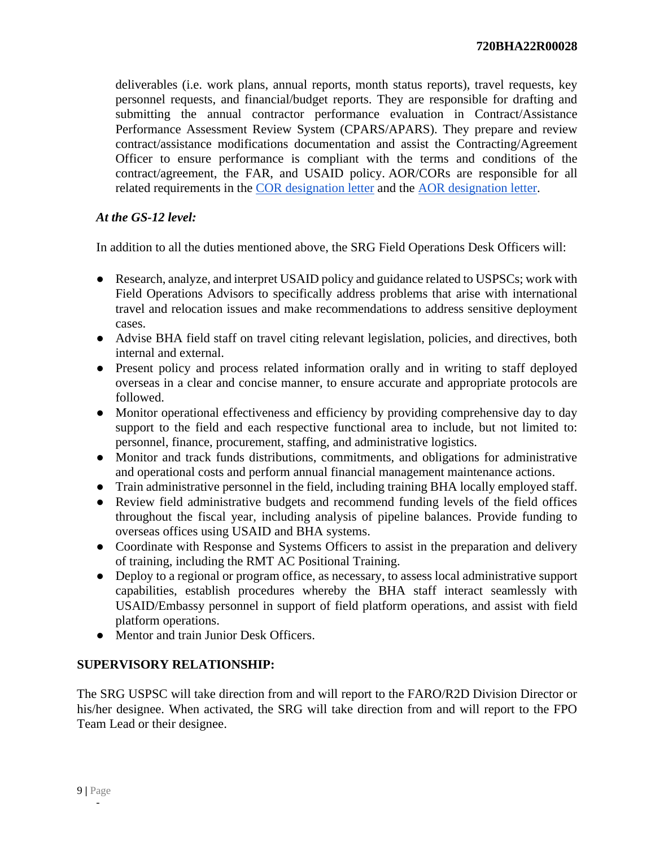deliverables (i.e. work plans, annual reports, month status reports), travel requests, key personnel requests, and financial/budget reports. They are responsible for drafting and submitting the annual contractor performance evaluation in Contract/Assistance Performance Assessment Review System (CPARS/APARS). They prepare and review contract/assistance modifications documentation and assist the Contracting/Agreement Officer to ensure performance is compliant with the terms and conditions of the contract/agreement, the FAR, and USAID policy. AOR/CORs are responsible for all related requirements in the [COR designation letter](https://www.usaid.gov/ads/policy/300/302mar) and the [AOR designation letter.](https://www.usaid.gov/ads/policy/300/303mai)

### *At the GS-12 level:*

In addition to all the duties mentioned above, the SRG Field Operations Desk Officers will:

- Research, analyze, and interpret USAID policy and guidance related to USPSCs; work with Field Operations Advisors to specifically address problems that arise with international travel and relocation issues and make recommendations to address sensitive deployment cases.
- Advise BHA field staff on travel citing relevant legislation, policies, and directives, both internal and external.
- Present policy and process related information orally and in writing to staff deployed overseas in a clear and concise manner, to ensure accurate and appropriate protocols are followed.
- Monitor operational effectiveness and efficiency by providing comprehensive day to day support to the field and each respective functional area to include, but not limited to: personnel, finance, procurement, staffing, and administrative logistics.
- Monitor and track funds distributions, commitments, and obligations for administrative and operational costs and perform annual financial management maintenance actions.
- Train administrative personnel in the field, including training BHA locally employed staff.
- Review field administrative budgets and recommend funding levels of the field offices throughout the fiscal year, including analysis of pipeline balances. Provide funding to overseas offices using USAID and BHA systems.
- Coordinate with Response and Systems Officers to assist in the preparation and delivery of training, including the RMT AC Positional Training.
- Deploy to a regional or program office, as necessary, to assess local administrative support capabilities, establish procedures whereby the BHA staff interact seamlessly with USAID/Embassy personnel in support of field platform operations, and assist with field platform operations.
- Mentor and train Junior Desk Officers.

# **SUPERVISORY RELATIONSHIP:**

The SRG USPSC will take direction from and will report to the FARO/R2D Division Director or his/her designee. When activated, the SRG will take direction from and will report to the FPO Team Lead or their designee.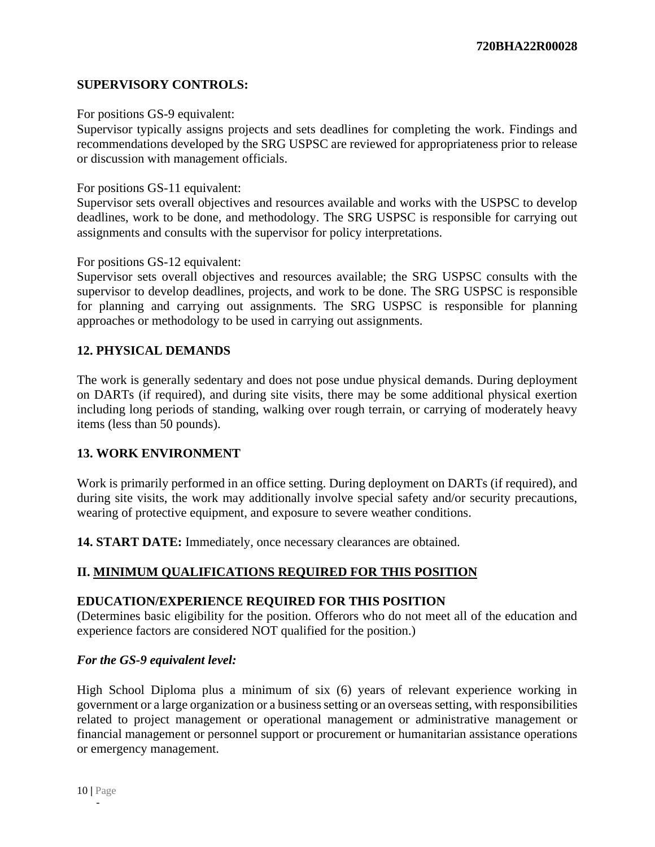### **SUPERVISORY CONTROLS:**

#### For positions GS-9 equivalent:

Supervisor typically assigns projects and sets deadlines for completing the work. Findings and recommendations developed by the SRG USPSC are reviewed for appropriateness prior to release or discussion with management officials.

#### For positions GS-11 equivalent:

Supervisor sets overall objectives and resources available and works with the USPSC to develop deadlines, work to be done, and methodology. The SRG USPSC is responsible for carrying out assignments and consults with the supervisor for policy interpretations.

#### For positions GS-12 equivalent:

Supervisor sets overall objectives and resources available; the SRG USPSC consults with the supervisor to develop deadlines, projects, and work to be done. The SRG USPSC is responsible for planning and carrying out assignments. The SRG USPSC is responsible for planning approaches or methodology to be used in carrying out assignments.

### **12. PHYSICAL DEMANDS**

The work is generally sedentary and does not pose undue physical demands. During deployment on DARTs (if required), and during site visits, there may be some additional physical exertion including long periods of standing, walking over rough terrain, or carrying of moderately heavy items (less than 50 pounds).

### **13. WORK ENVIRONMENT**

Work is primarily performed in an office setting. During deployment on DARTs (if required), and during site visits, the work may additionally involve special safety and/or security precautions, wearing of protective equipment, and exposure to severe weather conditions.

**14. START DATE:** Immediately, once necessary clearances are obtained.

# **II. MINIMUM QUALIFICATIONS REQUIRED FOR THIS POSITION**

#### **EDUCATION/EXPERIENCE REQUIRED FOR THIS POSITION**

(Determines basic eligibility for the position. Offerors who do not meet all of the education and experience factors are considered NOT qualified for the position.)

#### *For the GS-9 equivalent level:*

High School Diploma plus a minimum of six (6) years of relevant experience working in government or a large organization or a business setting or an overseas setting, with responsibilities related to project management or operational management or administrative management or financial management or personnel support or procurement or humanitarian assistance operations or emergency management.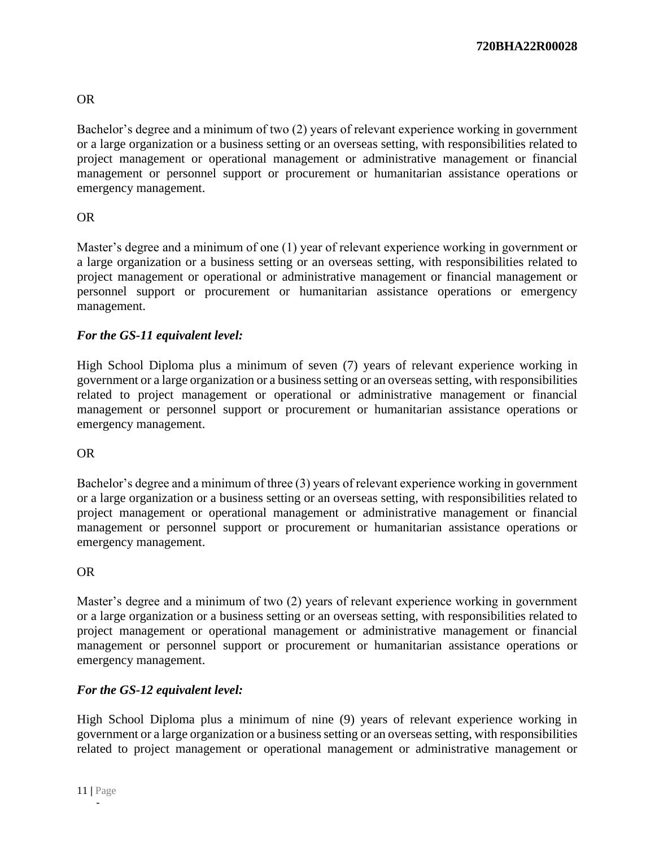# OR

Bachelor's degree and a minimum of two (2) years of relevant experience working in government or a large organization or a business setting or an overseas setting, with responsibilities related to project management or operational management or administrative management or financial management or personnel support or procurement or humanitarian assistance operations or emergency management.

# OR

Master's degree and a minimum of one (1) year of relevant experience working in government or a large organization or a business setting or an overseas setting, with responsibilities related to project management or operational or administrative management or financial management or personnel support or procurement or humanitarian assistance operations or emergency management.

# *For the GS-11 equivalent level:*

High School Diploma plus a minimum of seven (7) years of relevant experience working in government or a large organization or a business setting or an overseas setting, with responsibilities related to project management or operational or administrative management or financial management or personnel support or procurement or humanitarian assistance operations or emergency management.

# OR

Bachelor's degree and a minimum of three (3) years of relevant experience working in government or a large organization or a business setting or an overseas setting, with responsibilities related to project management or operational management or administrative management or financial management or personnel support or procurement or humanitarian assistance operations or emergency management.

### OR

Master's degree and a minimum of two (2) years of relevant experience working in government or a large organization or a business setting or an overseas setting, with responsibilities related to project management or operational management or administrative management or financial management or personnel support or procurement or humanitarian assistance operations or emergency management.

# *For the GS-12 equivalent level:*

High School Diploma plus a minimum of nine (9) years of relevant experience working in government or a large organization or a business setting or an overseas setting, with responsibilities related to project management or operational management or administrative management or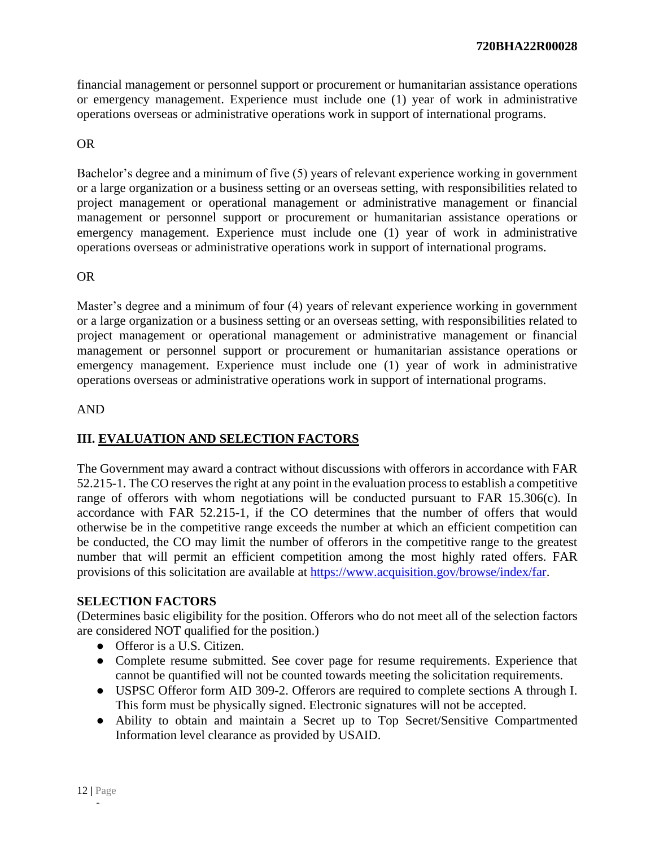financial management or personnel support or procurement or humanitarian assistance operations or emergency management. Experience must include one (1) year of work in administrative operations overseas or administrative operations work in support of international programs.

OR

Bachelor's degree and a minimum of five (5) years of relevant experience working in government or a large organization or a business setting or an overseas setting, with responsibilities related to project management or operational management or administrative management or financial management or personnel support or procurement or humanitarian assistance operations or emergency management. Experience must include one (1) year of work in administrative operations overseas or administrative operations work in support of international programs.

OR

Master's degree and a minimum of four (4) years of relevant experience working in government or a large organization or a business setting or an overseas setting, with responsibilities related to project management or operational management or administrative management or financial management or personnel support or procurement or humanitarian assistance operations or emergency management. Experience must include one (1) year of work in administrative operations overseas or administrative operations work in support of international programs.

### AND

# **III. EVALUATION AND SELECTION FACTORS**

The Government may award a contract without discussions with offerors in accordance with FAR 52.215-1. The CO reserves the right at any point in the evaluation process to establish a competitive range of offerors with whom negotiations will be conducted pursuant to FAR 15.306(c). In accordance with FAR 52.215-1, if the CO determines that the number of offers that would otherwise be in the competitive range exceeds the number at which an efficient competition can be conducted, the CO may limit the number of offerors in the competitive range to the greatest number that will permit an efficient competition among the most highly rated offers. FAR provisions of this solicitation are available at [https://www.acquisition.gov/browse/index/far.](https://www.acquisition.gov/browse/index/far)

# **SELECTION FACTORS**

(Determines basic eligibility for the position. Offerors who do not meet all of the selection factors are considered NOT qualified for the position.)

- Offeror is a U.S. Citizen.
- Complete resume submitted. See cover page for resume requirements. Experience that cannot be quantified will not be counted towards meeting the solicitation requirements.
- USPSC Offeror form AID 309-2. Offerors are required to complete sections A through I. This form must be physically signed. Electronic signatures will not be accepted.
- Ability to obtain and maintain a Secret up to Top Secret/Sensitive Compartmented Information level clearance as provided by USAID.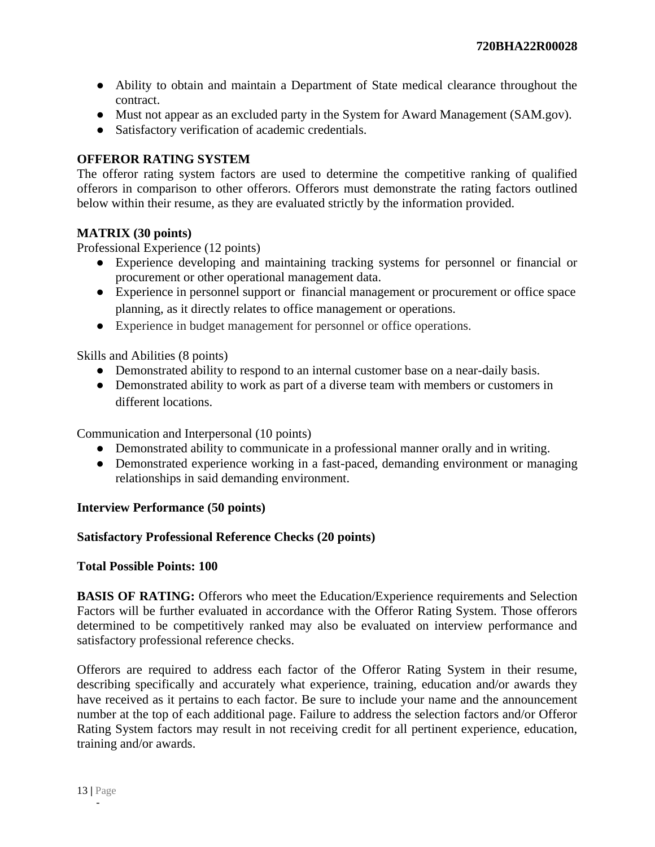- Ability to obtain and maintain a Department of State medical clearance throughout the contract.
- Must not appear as an excluded party in the System for Award Management (SAM.gov).
- Satisfactory verification of academic credentials.

# **OFFEROR RATING SYSTEM**

The offeror rating system factors are used to determine the competitive ranking of qualified offerors in comparison to other offerors. Offerors must demonstrate the rating factors outlined below within their resume, as they are evaluated strictly by the information provided.

# **MATRIX (30 points)**

Professional Experience (12 points)

- Experience developing and maintaining tracking systems for personnel or financial or procurement or other operational management data.
- Experience in personnel support or financial management or procurement or office space planning, as it directly relates to office management or operations.
- Experience in budget management for personnel or office operations.

Skills and Abilities (8 points)

- Demonstrated ability to respond to an internal customer base on a near-daily basis.
- Demonstrated ability to work as part of a diverse team with members or customers in different locations.

Communication and Interpersonal (10 points)

- Demonstrated ability to communicate in a professional manner orally and in writing.
- Demonstrated experience working in a fast-paced, demanding environment or managing relationships in said demanding environment.

### **Interview Performance (50 points)**

### **Satisfactory Professional Reference Checks (20 points)**

### **Total Possible Points: 100**

**BASIS OF RATING:** Offerors who meet the Education/Experience requirements and Selection Factors will be further evaluated in accordance with the Offeror Rating System. Those offerors determined to be competitively ranked may also be evaluated on interview performance and satisfactory professional reference checks.

Offerors are required to address each factor of the Offeror Rating System in their resume, describing specifically and accurately what experience, training, education and/or awards they have received as it pertains to each factor. Be sure to include your name and the announcement number at the top of each additional page. Failure to address the selection factors and/or Offeror Rating System factors may result in not receiving credit for all pertinent experience, education, training and/or awards.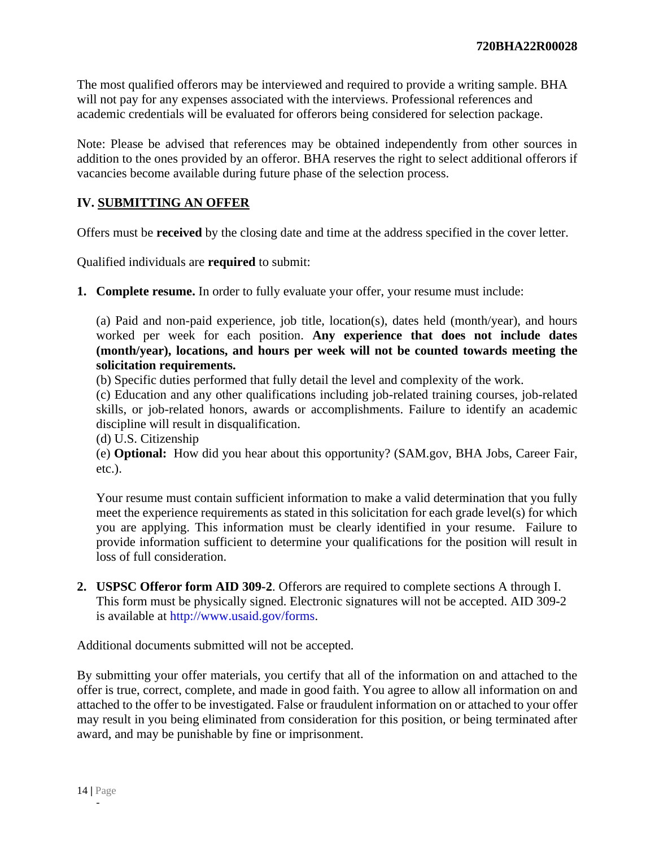The most qualified offerors may be interviewed and required to provide a writing sample. BHA will not pay for any expenses associated with the interviews. Professional references and academic credentials will be evaluated for offerors being considered for selection package.

Note: Please be advised that references may be obtained independently from other sources in addition to the ones provided by an offeror. BHA reserves the right to select additional offerors if vacancies become available during future phase of the selection process.

# **IV. SUBMITTING AN OFFER**

Offers must be **received** by the closing date and time at the address specified in the cover letter.

Qualified individuals are **required** to submit:

**1. Complete resume.** In order to fully evaluate your offer, your resume must include:

(a) Paid and non-paid experience, job title, location(s), dates held (month/year), and hours worked per week for each position. **Any experience that does not include dates (month/year), locations, and hours per week will not be counted towards meeting the solicitation requirements.**

(b) Specific duties performed that fully detail the level and complexity of the work.

(c) Education and any other qualifications including job-related training courses, job-related skills, or job-related honors, awards or accomplishments. Failure to identify an academic discipline will result in disqualification.

(d) U.S. Citizenship

(e) **Optional:** How did you hear about this opportunity? (SAM.gov, BHA Jobs, Career Fair, etc.).

Your resume must contain sufficient information to make a valid determination that you fully meet the experience requirements as stated in this solicitation for each grade level(s) for which you are applying. This information must be clearly identified in your resume. Failure to provide information sufficient to determine your qualifications for the position will result in loss of full consideration.

**2. USPSC Offeror form AID 309-2**. Offerors are required to complete sections A through I. This form must be physically signed. Electronic signatures will not be accepted. AID 309-2 is available at http://www.usaid.gov/forms.

Additional documents submitted will not be accepted.

By submitting your offer materials, you certify that all of the information on and attached to the offer is true, correct, complete, and made in good faith. You agree to allow all information on and attached to the offer to be investigated. False or fraudulent information on or attached to your offer may result in you being eliminated from consideration for this position, or being terminated after award, and may be punishable by fine or imprisonment.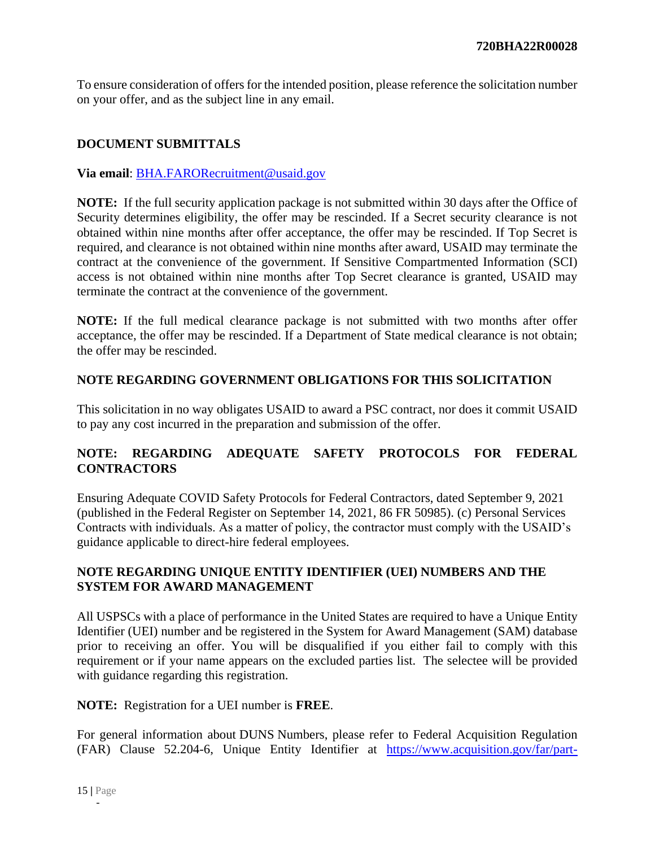To ensure consideration of offers for the intended position, please reference the solicitation number on your offer, and as the subject line in any email.

## **DOCUMENT SUBMITTALS**

#### **Via email**: [BHA.FARORecruitment@usaid.gov](mailto:BHA.FARORecruitment@usaid.gov)

**NOTE:** If the full security application package is not submitted within 30 days after the Office of Security determines eligibility, the offer may be rescinded. If a Secret security clearance is not obtained within nine months after offer acceptance, the offer may be rescinded. If Top Secret is required, and clearance is not obtained within nine months after award, USAID may terminate the contract at the convenience of the government. If Sensitive Compartmented Information (SCI) access is not obtained within nine months after Top Secret clearance is granted, USAID may terminate the contract at the convenience of the government.

**NOTE:** If the full medical clearance package is not submitted with two months after offer acceptance, the offer may be rescinded. If a Department of State medical clearance is not obtain; the offer may be rescinded.

### **NOTE REGARDING GOVERNMENT OBLIGATIONS FOR THIS SOLICITATION**

This solicitation in no way obligates USAID to award a PSC contract, nor does it commit USAID to pay any cost incurred in the preparation and submission of the offer.

# **NOTE: REGARDING ADEQUATE SAFETY PROTOCOLS FOR FEDERAL CONTRACTORS**

Ensuring Adequate COVID Safety Protocols for Federal Contractors, dated September 9, 2021 (published in the Federal Register on September 14, 2021, 86 FR 50985). (c) Personal Services Contracts with individuals. As a matter of policy, the contractor must comply with the USAID's guidance applicable to direct-hire federal employees.

### **NOTE REGARDING UNIQUE ENTITY IDENTIFIER (UEI) NUMBERS AND THE SYSTEM FOR AWARD MANAGEMENT**

All USPSCs with a place of performance in the United States are required to have a Unique Entity Identifier (UEI) number and be registered in the System for Award Management (SAM) database prior to receiving an offer. You will be disqualified if you either fail to comply with this requirement or if your name appears on the excluded parties list. The selectee will be provided with guidance regarding this registration.

### **NOTE:** Registration for a UEI number is **FREE**.

For general information about DUNS Numbers, please refer to Federal Acquisition Regulation (FAR) Clause 52.204-6, Unique Entity Identifier at [https://www.acquisition.gov/far/part-](https://www.acquisition.gov/far/part-52#FAR_52_204)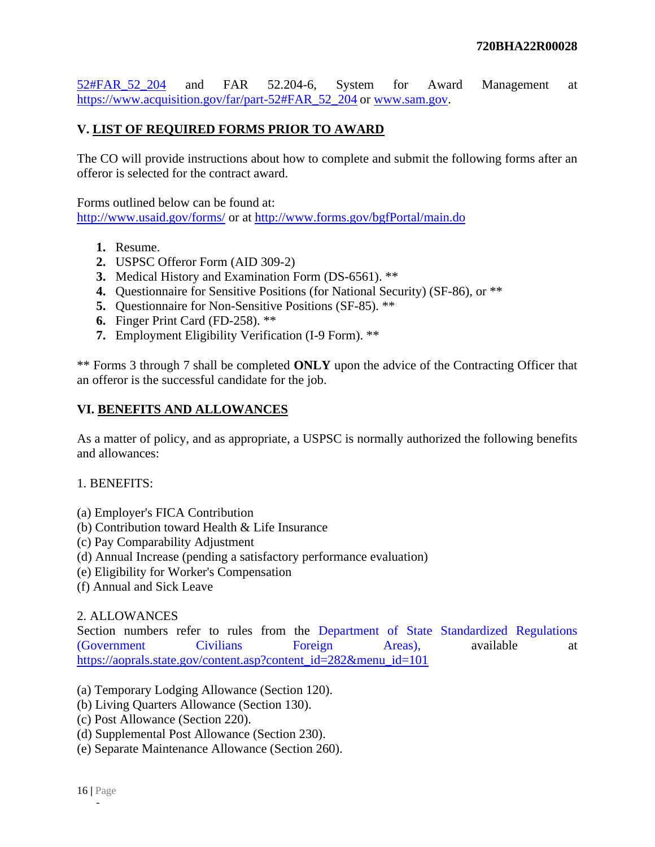[52#FAR\\_52\\_204](https://www.acquisition.gov/far/part-52#FAR_52_204) and FAR 52.204-6, System for Award Management at [https://www.acquisition.gov/far/part-52#FAR\\_52\\_204](https://www.acquisition.gov/far/part-52#FAR_52_204) or [www.sam.gov.](http://www.sam.gov/)

## **V. LIST OF REQUIRED FORMS PRIOR TO AWARD**

The CO will provide instructions about how to complete and submit the following forms after an offeror is selected for the contract award.

Forms outlined below can be found at: <http://www.usaid.gov/forms/> or at<http://www.forms.gov/bgfPortal/main.do>

- **1.** Resume.
- **2.** USPSC Offeror Form (AID 309-2)
- **3.** Medical History and Examination Form (DS-6561). \*\*
- **4.** Questionnaire for Sensitive Positions (for National Security) (SF-86), or \*\*
- **5.** Questionnaire for Non-Sensitive Positions (SF-85). \*\*
- **6.** Finger Print Card (FD-258). \*\*
- **7.** Employment Eligibility Verification (I-9 Form). \*\*

\*\* Forms 3 through 7 shall be completed **ONLY** upon the advice of the Contracting Officer that an offeror is the successful candidate for the job.

#### **VI. BENEFITS AND ALLOWANCES**

As a matter of policy, and as appropriate, a USPSC is normally authorized the following benefits and allowances:

#### 1. BENEFITS:

- (a) Employer's FICA Contribution
- (b) Contribution toward Health & Life Insurance
- (c) Pay Comparability Adjustment
- (d) Annual Increase (pending a satisfactory performance evaluation)
- (e) Eligibility for Worker's Compensation
- (f) Annual and Sick Leave

#### 2. ALLOWANCES

Section numbers refer to rules from the Department of State Standardized Regulations (Government Civilians Foreign Areas), available at [https://aoprals.state.gov/content.asp?content\\_id=282&menu\\_id=101](https://aoprals.state.gov/content.asp?content_id=282&menu_id=101)

- (a) Temporary Lodging Allowance (Section 120).
- (b) Living Quarters Allowance (Section 130).
- (c) Post Allowance (Section 220).
- (d) Supplemental Post Allowance (Section 230).
- (e) Separate Maintenance Allowance (Section 260).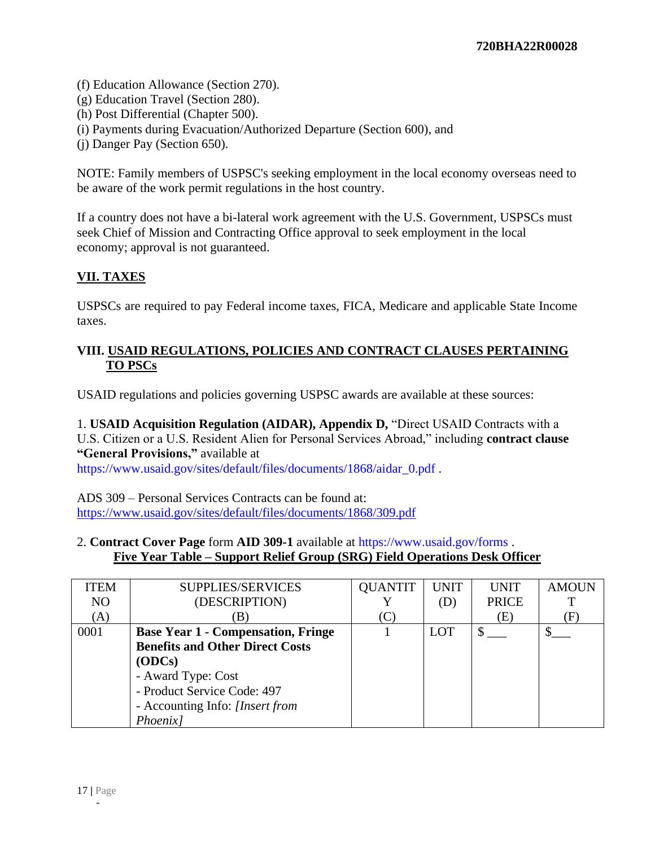- (f) Education Allowance (Section 270).
- (g) Education Travel (Section 280).
- (h) Post Differential (Chapter 500).
- (i) Payments during Evacuation/Authorized Departure (Section 600), and
- (j) Danger Pay (Section 650).

NOTE: Family members of USPSC's seeking employment in the local economy overseas need to be aware of the work permit regulations in the host country.

If a country does not have a bi-lateral work agreement with the U.S. Government, USPSCs must seek Chief of Mission and Contracting Office approval to seek employment in the local economy; approval is not guaranteed.

# **VII. TAXES**

USPSCs are required to pay Federal income taxes, FICA, Medicare and applicable State Income taxes.

# **VIII. USAID REGULATIONS, POLICIES AND CONTRACT CLAUSES PERTAINING TO PSCs**

USAID regulations and policies governing USPSC awards are available at these sources:

1. **USAID Acquisition Regulation (AIDAR), Appendix D,** "Direct USAID Contracts with a U.S. Citizen or a U.S. Resident Alien for Personal Services Abroad," including **contract clause "General Provisions,"** available at

https://www.usaid.gov/sites/default/files/documents/1868/aidar\_0.pdf .

ADS 309 – Personal Services Contracts can be found at: <https://www.usaid.gov/sites/default/files/documents/1868/309.pdf>

### 2. **Contract Cover Page** form **AID 309-1** available at https://www.usaid.gov/forms . **Five Year Table – Support Relief Group (SRG) Field Operations Desk Officer**

| <b>ITEM</b>    | <b>SUPPLIES/SERVICES</b>                  | QUANTIT        | UNIT | <b>UNIT</b>  | <b>AMOUN</b> |
|----------------|-------------------------------------------|----------------|------|--------------|--------------|
| N <sub>O</sub> | (DESCRIPTION)                             |                | (D)  | <b>PRICE</b> | T            |
| (A)            |                                           | $(\mathbf{C})$ |      | (E)          | (F)          |
| 0001           | <b>Base Year 1 - Compensation, Fringe</b> |                | LOT  |              |              |
|                | <b>Benefits and Other Direct Costs</b>    |                |      |              |              |
|                | (ODCs)                                    |                |      |              |              |
|                | - Award Type: Cost                        |                |      |              |              |
|                | - Product Service Code: 497               |                |      |              |              |
|                | - Accounting Info: [Insert from           |                |      |              |              |
|                | Phoenix]                                  |                |      |              |              |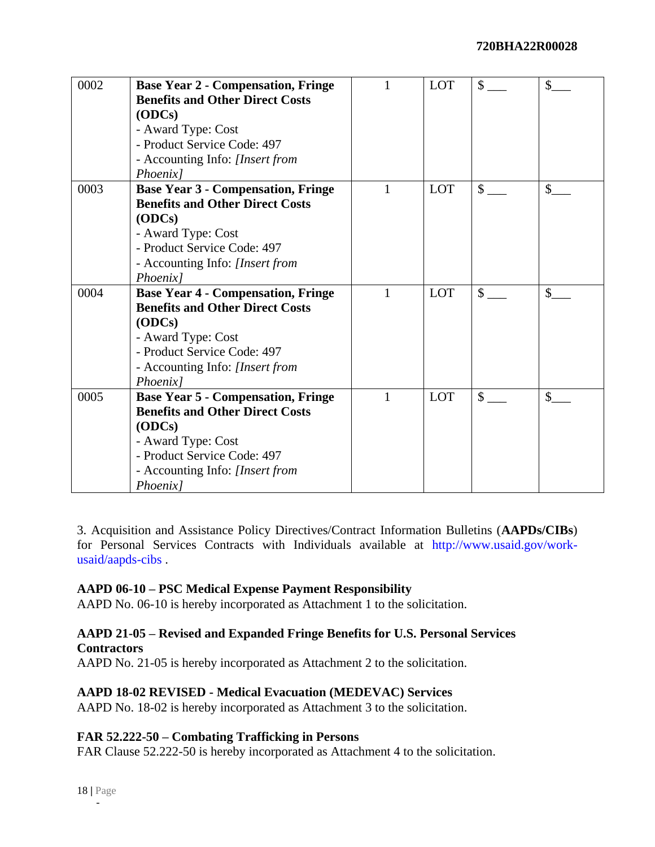| 0002 | <b>Base Year 2 - Compensation, Fringe</b><br><b>Benefits and Other Direct Costs</b><br>(ODCs)<br>- Award Type: Cost<br>- Product Service Code: 497<br>- Accounting Info: [Insert from<br>Phoenix] |   | LOT        | $\mathbb{S}$  | \$ |
|------|---------------------------------------------------------------------------------------------------------------------------------------------------------------------------------------------------|---|------------|---------------|----|
| 0003 | <b>Base Year 3 - Compensation, Fringe</b><br><b>Benefits and Other Direct Costs</b><br>(ODCs)<br>- Award Type: Cost<br>- Product Service Code: 497<br>- Accounting Info: [Insert from<br>Phoenix] | 1 | LOT        | $\mathbb{S}$  | \$ |
| 0004 | <b>Base Year 4 - Compensation, Fringe</b><br><b>Benefits and Other Direct Costs</b><br>(ODCs)<br>- Award Type: Cost<br>- Product Service Code: 497<br>- Accounting Info: [Insert from<br>Phoenix] | 1 | <b>LOT</b> | $\frac{1}{2}$ | \$ |
| 0005 | <b>Base Year 5 - Compensation, Fringe</b><br><b>Benefits and Other Direct Costs</b><br>(ODCs)<br>- Award Type: Cost<br>- Product Service Code: 497<br>- Accounting Info: [Insert from<br>Phoenix] | 1 | LOT        | $\mathbb{S}$  | \$ |

3. Acquisition and Assistance Policy Directives/Contract Information Bulletins (**AAPDs/CIBs**) for Personal Services Contracts with Individuals available at http://www.usaid.gov/workusaid/aapds-cibs .

### **AAPD 06-10 – PSC Medical Expense Payment Responsibility**

AAPD No. 06-10 is hereby incorporated as Attachment 1 to the solicitation.

#### **AAPD 21-05 – Revised and Expanded Fringe Benefits for U.S. Personal Services Contractors**

AAPD No. 21-05 is hereby incorporated as Attachment 2 to the solicitation.

### **AAPD 18-02 REVISED - Medical Evacuation (MEDEVAC) Services**

AAPD No. 18-02 is hereby incorporated as Attachment 3 to the solicitation.

# **FAR 52.222-50 – Combating Trafficking in Persons**

FAR Clause 52.222-50 is hereby incorporated as Attachment 4 to the solicitation.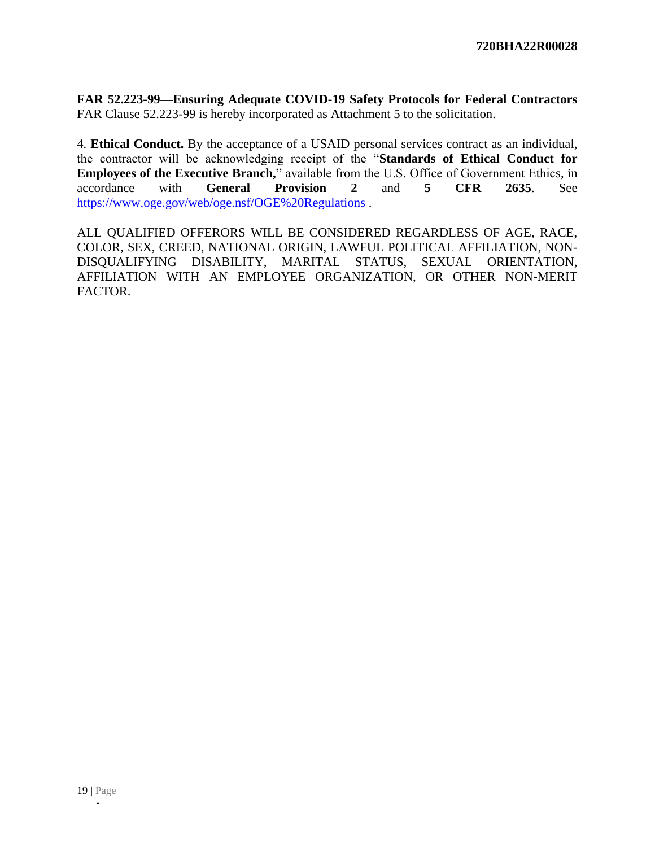**FAR 52.223-99—Ensuring Adequate COVID-19 Safety Protocols for Federal Contractors**  FAR Clause 52.223-99 is hereby incorporated as Attachment 5 to the solicitation.

4. **Ethical Conduct.** By the acceptance of a USAID personal services contract as an individual, the contractor will be acknowledging receipt of the "**Standards of Ethical Conduct for Employees of the Executive Branch,**" available from the U.S. Office of Government Ethics, in accordance with **General Provision 2** and **5 CFR 2635**. See https://www.oge.gov/web/oge.nsf/OGE%20Regulations .

ALL QUALIFIED OFFERORS WILL BE CONSIDERED REGARDLESS OF AGE, RACE, COLOR, SEX, CREED, NATIONAL ORIGIN, LAWFUL POLITICAL AFFILIATION, NON-DISQUALIFYING DISABILITY, MARITAL STATUS, SEXUAL ORIENTATION, AFFILIATION WITH AN EMPLOYEE ORGANIZATION, OR OTHER NON-MERIT FACTOR.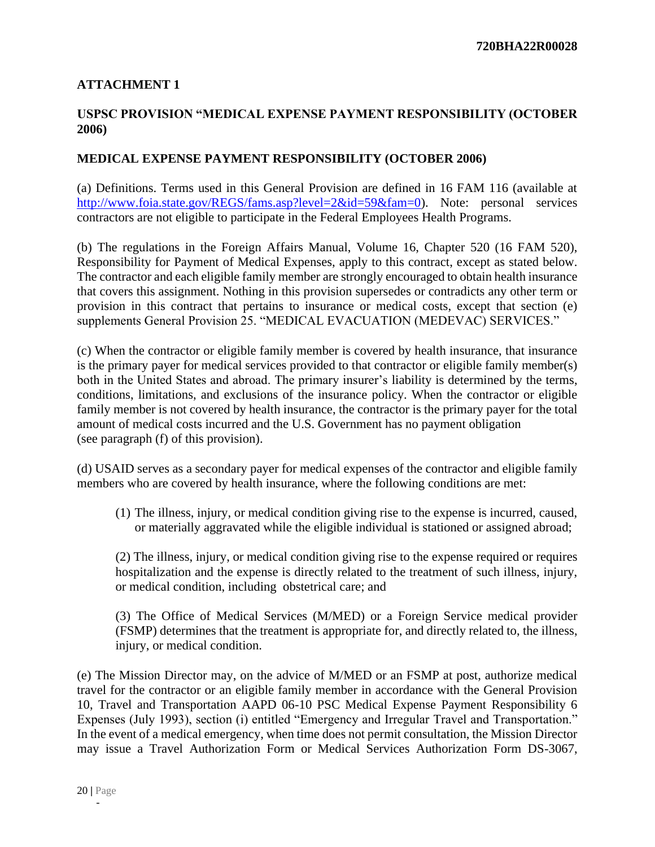# **ATTACHMENT 1**

### **USPSC PROVISION "MEDICAL EXPENSE PAYMENT RESPONSIBILITY (OCTOBER 2006)**

### **MEDICAL EXPENSE PAYMENT RESPONSIBILITY (OCTOBER 2006)**

(a) Definitions. Terms used in this General Provision are defined in 16 FAM 116 (available at [http://www.foia.state.gov/REGS/fams.asp?level=2&id=59&fam=0\)](http://www.foia.state.gov/REGS/fams.asp?level=2&id=59&fam=0). Note: personal services contractors are not eligible to participate in the Federal Employees Health Programs.

(b) The regulations in the Foreign Affairs Manual, Volume 16, Chapter 520 (16 FAM 520), Responsibility for Payment of Medical Expenses, apply to this contract, except as stated below. The contractor and each eligible family member are strongly encouraged to obtain health insurance that covers this assignment. Nothing in this provision supersedes or contradicts any other term or provision in this contract that pertains to insurance or medical costs, except that section (e) supplements General Provision 25. "MEDICAL EVACUATION (MEDEVAC) SERVICES."

(c) When the contractor or eligible family member is covered by health insurance, that insurance is the primary payer for medical services provided to that contractor or eligible family member(s) both in the United States and abroad. The primary insurer's liability is determined by the terms, conditions, limitations, and exclusions of the insurance policy. When the contractor or eligible family member is not covered by health insurance, the contractor is the primary payer for the total amount of medical costs incurred and the U.S. Government has no payment obligation (see paragraph (f) of this provision).

(d) USAID serves as a secondary payer for medical expenses of the contractor and eligible family members who are covered by health insurance, where the following conditions are met:

(1) The illness, injury, or medical condition giving rise to the expense is incurred, caused, or materially aggravated while the eligible individual is stationed or assigned abroad;

(2) The illness, injury, or medical condition giving rise to the expense required or requires hospitalization and the expense is directly related to the treatment of such illness, injury, or medical condition, including obstetrical care; and

(3) The Office of Medical Services (M/MED) or a Foreign Service medical provider (FSMP) determines that the treatment is appropriate for, and directly related to, the illness, injury, or medical condition.

(e) The Mission Director may, on the advice of M/MED or an FSMP at post, authorize medical travel for the contractor or an eligible family member in accordance with the General Provision 10, Travel and Transportation AAPD 06-10 PSC Medical Expense Payment Responsibility 6 Expenses (July 1993), section (i) entitled "Emergency and Irregular Travel and Transportation." In the event of a medical emergency, when time does not permit consultation, the Mission Director may issue a Travel Authorization Form or Medical Services Authorization Form DS-3067,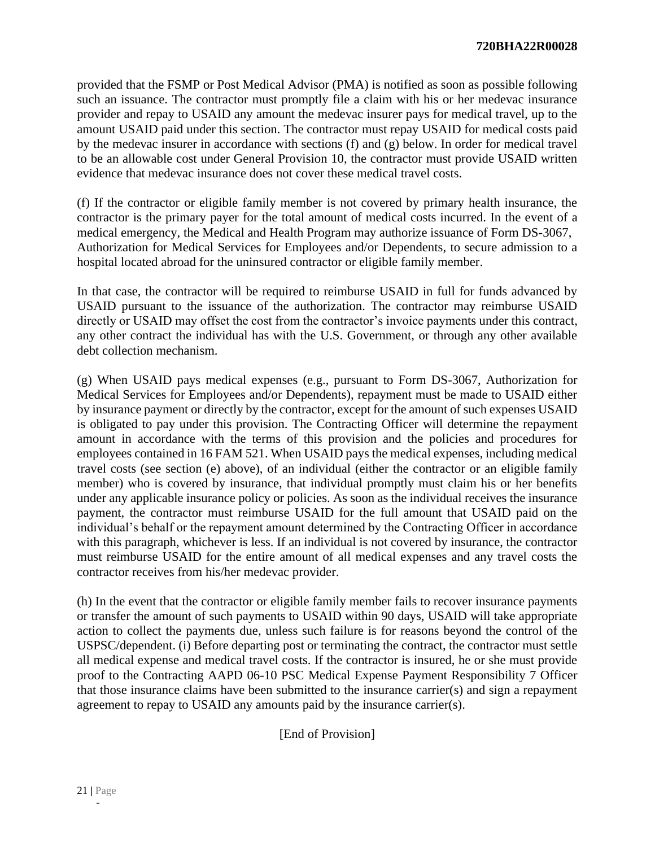provided that the FSMP or Post Medical Advisor (PMA) is notified as soon as possible following such an issuance. The contractor must promptly file a claim with his or her medevac insurance provider and repay to USAID any amount the medevac insurer pays for medical travel, up to the amount USAID paid under this section. The contractor must repay USAID for medical costs paid by the medevac insurer in accordance with sections (f) and (g) below. In order for medical travel to be an allowable cost under General Provision 10, the contractor must provide USAID written evidence that medevac insurance does not cover these medical travel costs.

(f) If the contractor or eligible family member is not covered by primary health insurance, the contractor is the primary payer for the total amount of medical costs incurred. In the event of a medical emergency, the Medical and Health Program may authorize issuance of Form DS-3067, Authorization for Medical Services for Employees and/or Dependents, to secure admission to a hospital located abroad for the uninsured contractor or eligible family member.

In that case, the contractor will be required to reimburse USAID in full for funds advanced by USAID pursuant to the issuance of the authorization. The contractor may reimburse USAID directly or USAID may offset the cost from the contractor's invoice payments under this contract, any other contract the individual has with the U.S. Government, or through any other available debt collection mechanism.

(g) When USAID pays medical expenses (e.g., pursuant to Form DS-3067, Authorization for Medical Services for Employees and/or Dependents), repayment must be made to USAID either by insurance payment or directly by the contractor, except for the amount of such expenses USAID is obligated to pay under this provision. The Contracting Officer will determine the repayment amount in accordance with the terms of this provision and the policies and procedures for employees contained in 16 FAM 521. When USAID pays the medical expenses, including medical travel costs (see section (e) above), of an individual (either the contractor or an eligible family member) who is covered by insurance, that individual promptly must claim his or her benefits under any applicable insurance policy or policies. As soon as the individual receives the insurance payment, the contractor must reimburse USAID for the full amount that USAID paid on the individual's behalf or the repayment amount determined by the Contracting Officer in accordance with this paragraph, whichever is less. If an individual is not covered by insurance, the contractor must reimburse USAID for the entire amount of all medical expenses and any travel costs the contractor receives from his/her medevac provider.

(h) In the event that the contractor or eligible family member fails to recover insurance payments or transfer the amount of such payments to USAID within 90 days, USAID will take appropriate action to collect the payments due, unless such failure is for reasons beyond the control of the USPSC/dependent. (i) Before departing post or terminating the contract, the contractor must settle all medical expense and medical travel costs. If the contractor is insured, he or she must provide proof to the Contracting AAPD 06-10 PSC Medical Expense Payment Responsibility 7 Officer that those insurance claims have been submitted to the insurance carrier(s) and sign a repayment agreement to repay to USAID any amounts paid by the insurance carrier(s).

[End of Provision]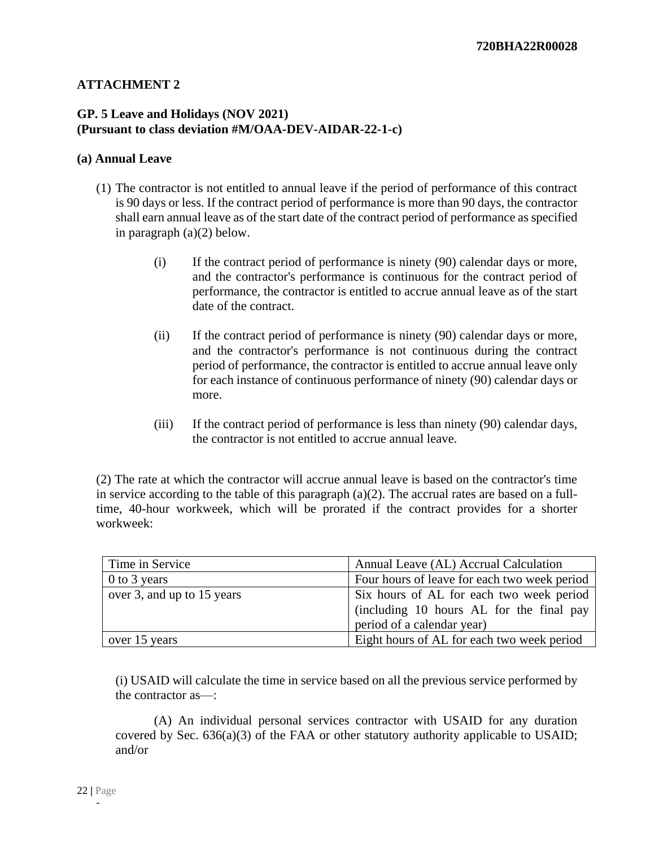## **ATTACHMENT 2**

### **GP. 5 Leave and Holidays (NOV 2021) (Pursuant to class deviation #M/OAA-DEV-AIDAR-22-1-c)**

#### **(a) Annual Leave**

- (1) The contractor is not entitled to annual leave if the period of performance of this contract is 90 days or less. If the contract period of performance is more than 90 days, the contractor shall earn annual leave as of the start date of the contract period of performance as specified in paragraph (a)(2) below.
	- (i) If the contract period of performance is ninety (90) calendar days or more, and the contractor's performance is continuous for the contract period of performance, the contractor is entitled to accrue annual leave as of the start date of the contract.
	- (ii) If the contract period of performance is ninety (90) calendar days or more, and the contractor's performance is not continuous during the contract period of performance, the contractor is entitled to accrue annual leave only for each instance of continuous performance of ninety (90) calendar days or more.
	- (iii) If the contract period of performance is less than ninety (90) calendar days, the contractor is not entitled to accrue annual leave.

(2) The rate at which the contractor will accrue annual leave is based on the contractor's time in service according to the table of this paragraph (a)(2). The accrual rates are based on a fulltime, 40-hour workweek, which will be prorated if the contract provides for a shorter workweek:

| Time in Service            | Annual Leave (AL) Accrual Calculation                                                                              |
|----------------------------|--------------------------------------------------------------------------------------------------------------------|
| 0 to 3 years               | Four hours of leave for each two week period                                                                       |
| over 3, and up to 15 years | Six hours of AL for each two week period<br>(including 10 hours AL for the final pay<br>period of a calendar year) |
| over 15 years              | Eight hours of AL for each two week period                                                                         |

(i) USAID will calculate the time in service based on all the previous service performed by the contractor as—:

(A) An individual personal services contractor with USAID for any duration covered by Sec. 636(a)(3) of the FAA or other statutory authority applicable to USAID; and/or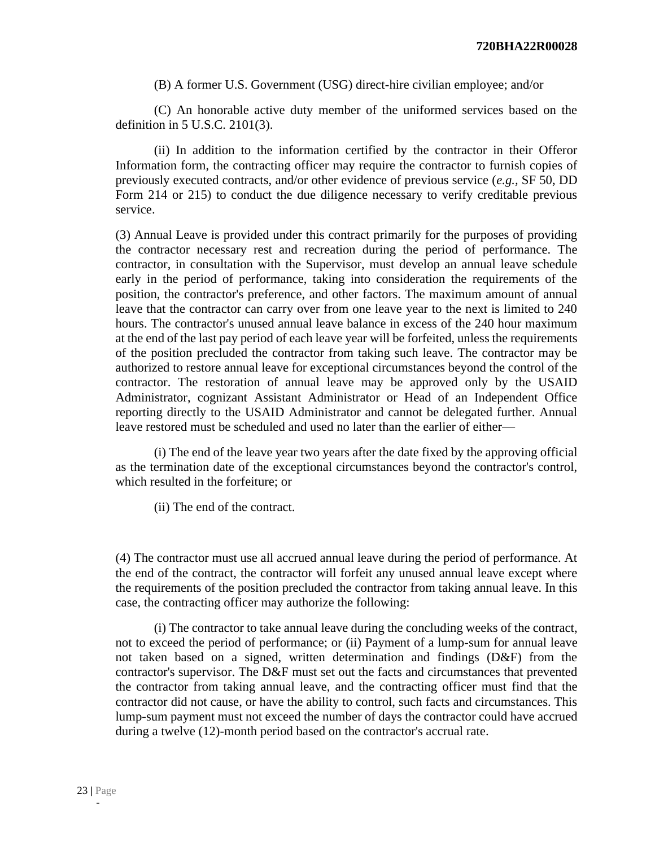(B) A former U.S. Government (USG) direct-hire civilian employee; and/or

(C) An honorable active duty member of the uniformed services based on the definition in 5 U.S.C. 2101(3).

(ii) In addition to the information certified by the contractor in their Offeror Information form, the contracting officer may require the contractor to furnish copies of previously executed contracts, and/or other evidence of previous service (*e.g.,* SF 50, DD Form 214 or 215) to conduct the due diligence necessary to verify creditable previous service.

(3) Annual Leave is provided under this contract primarily for the purposes of providing the contractor necessary rest and recreation during the period of performance. The contractor, in consultation with the Supervisor, must develop an annual leave schedule early in the period of performance, taking into consideration the requirements of the position, the contractor's preference, and other factors. The maximum amount of annual leave that the contractor can carry over from one leave year to the next is limited to 240 hours. The contractor's unused annual leave balance in excess of the 240 hour maximum at the end of the last pay period of each leave year will be forfeited, unless the requirements of the position precluded the contractor from taking such leave. The contractor may be authorized to restore annual leave for exceptional circumstances beyond the control of the contractor. The restoration of annual leave may be approved only by the USAID Administrator, cognizant Assistant Administrator or Head of an Independent Office reporting directly to the USAID Administrator and cannot be delegated further. Annual leave restored must be scheduled and used no later than the earlier of either—

(i) The end of the leave year two years after the date fixed by the approving official as the termination date of the exceptional circumstances beyond the contractor's control, which resulted in the forfeiture; or

(ii) The end of the contract.

(4) The contractor must use all accrued annual leave during the period of performance. At the end of the contract, the contractor will forfeit any unused annual leave except where the requirements of the position precluded the contractor from taking annual leave. In this case, the contracting officer may authorize the following:

(i) The contractor to take annual leave during the concluding weeks of the contract, not to exceed the period of performance; or (ii) Payment of a lump-sum for annual leave not taken based on a signed, written determination and findings (D&F) from the contractor's supervisor. The D&F must set out the facts and circumstances that prevented the contractor from taking annual leave, and the contracting officer must find that the contractor did not cause, or have the ability to control, such facts and circumstances. This lump-sum payment must not exceed the number of days the contractor could have accrued during a twelve (12)-month period based on the contractor's accrual rate.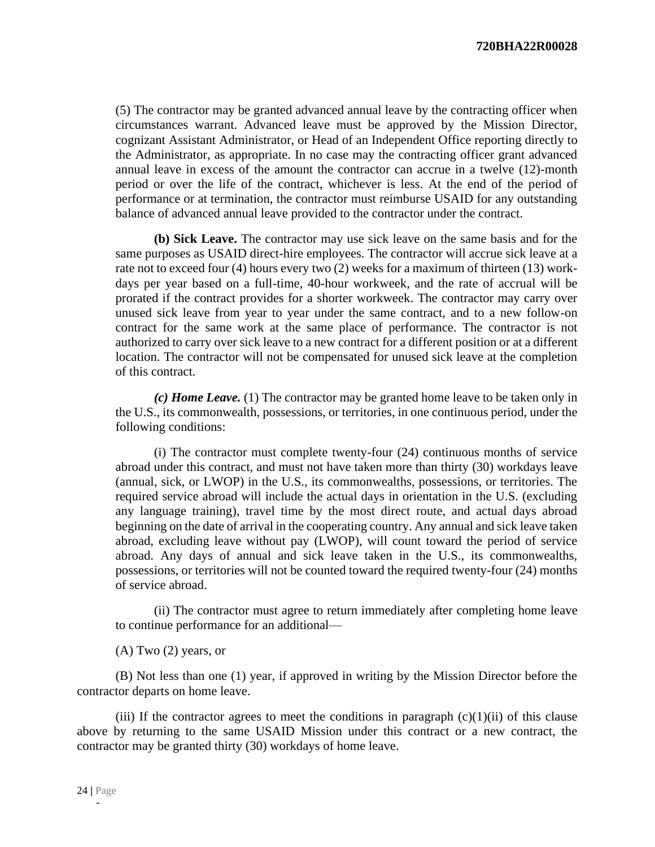(5) The contractor may be granted advanced annual leave by the contracting officer when circumstances warrant. Advanced leave must be approved by the Mission Director, cognizant Assistant Administrator, or Head of an Independent Office reporting directly to the Administrator, as appropriate. In no case may the contracting officer grant advanced annual leave in excess of the amount the contractor can accrue in a twelve (12)-month period or over the life of the contract, whichever is less. At the end of the period of performance or at termination, the contractor must reimburse USAID for any outstanding balance of advanced annual leave provided to the contractor under the contract.

**(b) Sick Leave.** The contractor may use sick leave on the same basis and for the same purposes as USAID direct-hire employees. The contractor will accrue sick leave at a rate not to exceed four (4) hours every two (2) weeks for a maximum of thirteen (13) workdays per year based on a full-time, 40-hour workweek, and the rate of accrual will be prorated if the contract provides for a shorter workweek. The contractor may carry over unused sick leave from year to year under the same contract, and to a new follow-on contract for the same work at the same place of performance. The contractor is not authorized to carry over sick leave to a new contract for a different position or at a different location. The contractor will not be compensated for unused sick leave at the completion of this contract.

*(c) Home Leave.* (1) The contractor may be granted home leave to be taken only in the U.S., its commonwealth, possessions, or territories, in one continuous period, under the following conditions:

(i) The contractor must complete twenty-four (24) continuous months of service abroad under this contract, and must not have taken more than thirty (30) workdays leave (annual, sick, or LWOP) in the U.S., its commonwealths, possessions, or territories. The required service abroad will include the actual days in orientation in the U.S. (excluding any language training), travel time by the most direct route, and actual days abroad beginning on the date of arrival in the cooperating country. Any annual and sick leave taken abroad, excluding leave without pay (LWOP), will count toward the period of service abroad. Any days of annual and sick leave taken in the U.S., its commonwealths, possessions, or territories will not be counted toward the required twenty-four (24) months of service abroad.

(ii) The contractor must agree to return immediately after completing home leave to continue performance for an additional—

(A) Two (2) years, or

(B) Not less than one (1) year, if approved in writing by the Mission Director before the contractor departs on home leave.

(iii) If the contractor agrees to meet the conditions in paragraph  $(c)(1)(ii)$  of this clause above by returning to the same USAID Mission under this contract or a new contract, the contractor may be granted thirty (30) workdays of home leave.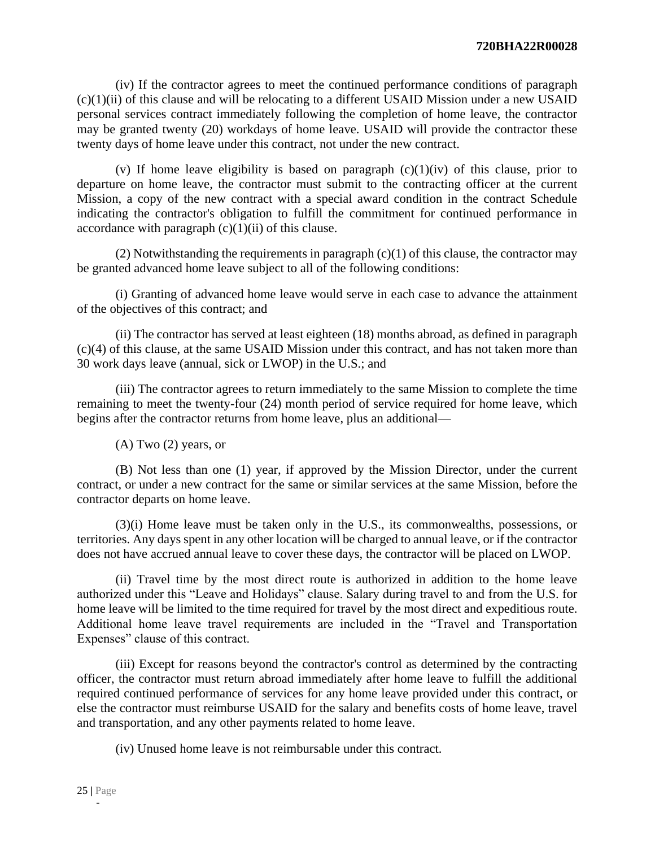(iv) If the contractor agrees to meet the continued performance conditions of paragraph (c)(1)(ii) of this clause and will be relocating to a different USAID Mission under a new USAID personal services contract immediately following the completion of home leave, the contractor may be granted twenty (20) workdays of home leave. USAID will provide the contractor these twenty days of home leave under this contract, not under the new contract.

(v) If home leave eligibility is based on paragraph  $(c)(1)(iv)$  of this clause, prior to departure on home leave, the contractor must submit to the contracting officer at the current Mission, a copy of the new contract with a special award condition in the contract Schedule indicating the contractor's obligation to fulfill the commitment for continued performance in accordance with paragraph  $(c)(1)(ii)$  of this clause.

(2) Notwithstanding the requirements in paragraph  $(c)(1)$  of this clause, the contractor may be granted advanced home leave subject to all of the following conditions:

(i) Granting of advanced home leave would serve in each case to advance the attainment of the objectives of this contract; and

(ii) The contractor has served at least eighteen (18) months abroad, as defined in paragraph (c)(4) of this clause, at the same USAID Mission under this contract, and has not taken more than 30 work days leave (annual, sick or LWOP) in the U.S.; and

(iii) The contractor agrees to return immediately to the same Mission to complete the time remaining to meet the twenty-four (24) month period of service required for home leave, which begins after the contractor returns from home leave, plus an additional—

(A) Two (2) years, or

(B) Not less than one (1) year, if approved by the Mission Director, under the current contract, or under a new contract for the same or similar services at the same Mission, before the contractor departs on home leave.

(3)(i) Home leave must be taken only in the U.S., its commonwealths, possessions, or territories. Any days spent in any other location will be charged to annual leave, or if the contractor does not have accrued annual leave to cover these days, the contractor will be placed on LWOP.

(ii) Travel time by the most direct route is authorized in addition to the home leave authorized under this "Leave and Holidays" clause. Salary during travel to and from the U.S. for home leave will be limited to the time required for travel by the most direct and expeditious route. Additional home leave travel requirements are included in the "Travel and Transportation Expenses" clause of this contract.

(iii) Except for reasons beyond the contractor's control as determined by the contracting officer, the contractor must return abroad immediately after home leave to fulfill the additional required continued performance of services for any home leave provided under this contract, or else the contractor must reimburse USAID for the salary and benefits costs of home leave, travel and transportation, and any other payments related to home leave.

(iv) Unused home leave is not reimbursable under this contract.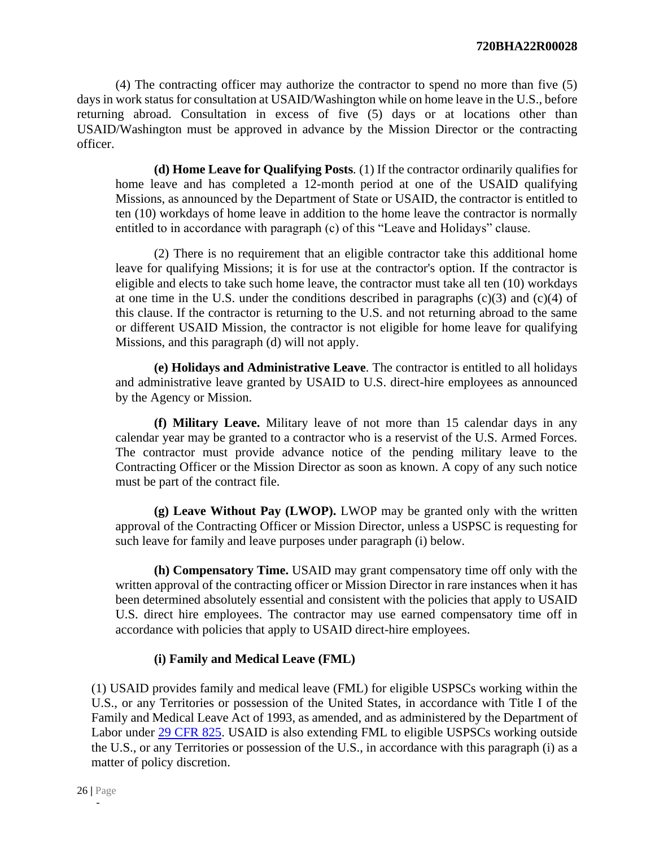(4) The contracting officer may authorize the contractor to spend no more than five (5) days in work status for consultation at USAID/Washington while on home leave in the U.S., before returning abroad. Consultation in excess of five (5) days or at locations other than USAID/Washington must be approved in advance by the Mission Director or the contracting officer.

**(d) Home Leave for Qualifying Posts***.* (1) If the contractor ordinarily qualifies for home leave and has completed a 12-month period at one of the USAID qualifying Missions, as announced by the Department of State or USAID, the contractor is entitled to ten (10) workdays of home leave in addition to the home leave the contractor is normally entitled to in accordance with paragraph (c) of this "Leave and Holidays" clause.

(2) There is no requirement that an eligible contractor take this additional home leave for qualifying Missions; it is for use at the contractor's option. If the contractor is eligible and elects to take such home leave, the contractor must take all ten (10) workdays at one time in the U.S. under the conditions described in paragraphs  $(c)(3)$  and  $(c)(4)$  of this clause. If the contractor is returning to the U.S. and not returning abroad to the same or different USAID Mission, the contractor is not eligible for home leave for qualifying Missions, and this paragraph (d) will not apply.

**(e) Holidays and Administrative Leave***.* The contractor is entitled to all holidays and administrative leave granted by USAID to U.S. direct-hire employees as announced by the Agency or Mission.

**(f) Military Leave.** Military leave of not more than 15 calendar days in any calendar year may be granted to a contractor who is a reservist of the U.S. Armed Forces. The contractor must provide advance notice of the pending military leave to the Contracting Officer or the Mission Director as soon as known. A copy of any such notice must be part of the contract file.

**(g) Leave Without Pay (LWOP).** LWOP may be granted only with the written approval of the Contracting Officer or Mission Director, unless a USPSC is requesting for such leave for family and leave purposes under paragraph (i) below.

**(h) Compensatory Time.** USAID may grant compensatory time off only with the written approval of the contracting officer or Mission Director in rare instances when it has been determined absolutely essential and consistent with the policies that apply to USAID U.S. direct hire employees. The contractor may use earned compensatory time off in accordance with policies that apply to USAID direct-hire employees.

# **(i) Family and Medical Leave (FML)**

(1) USAID provides family and medical leave (FML) for eligible USPSCs working within the U.S., or any Territories or possession of the United States, in accordance with Title I of the Family and Medical Leave Act of 1993, as amended, and as administered by the Department of Labor under [29 CFR 825.](https://www.ecfr.gov/cgi-bin/text-idx?SID=db0243f608afdb03943b0635a819c860&mc=true&tpl=/ecfrbrowse/Title29/29cfr825_main_02.tpl) USAID is also extending FML to eligible USPSCs working outside the U.S., or any Territories or possession of the U.S., in accordance with this paragraph (i) as a matter of policy discretion.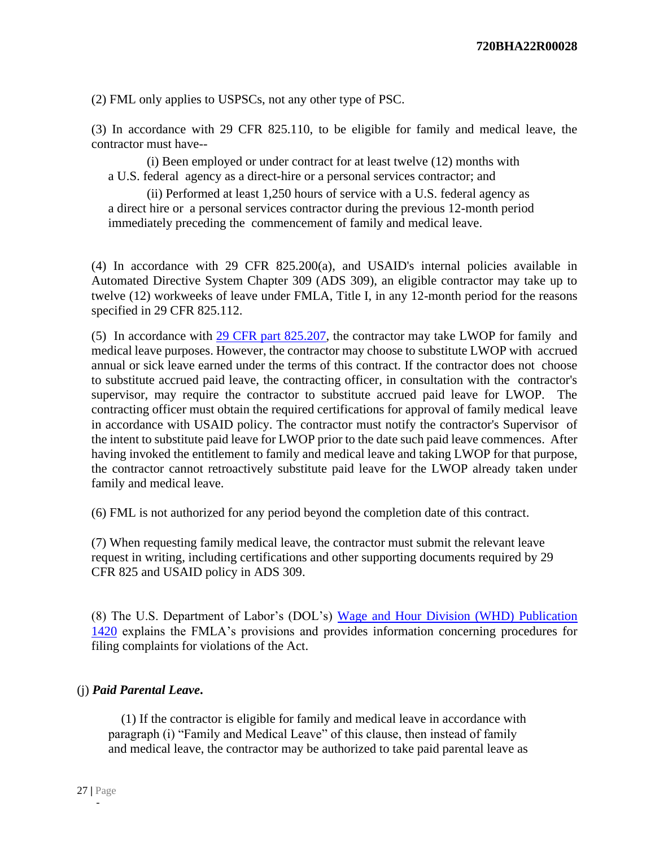(2) FML only applies to USPSCs, not any other type of PSC.

(3) In accordance with 29 CFR 825.110, to be eligible for family and medical leave, the contractor must have--

(i) Been employed or under contract for at least twelve (12) months with a U.S. federal agency as a direct-hire or a personal services contractor; and

(ii) Performed at least 1,250 hours of service with a U.S. federal agency as a direct hire or a personal services contractor during the previous 12-month period immediately preceding the commencement of family and medical leave.

(4) In accordance with 29 CFR 825.200(a), and USAID's internal policies available in Automated Directive System Chapter 309 (ADS 309), an eligible contractor may take up to twelve (12) workweeks of leave under FMLA, Title I, in any 12-month period for the reasons specified in 29 CFR 825.112.

(5) In accordance with 29 CFR part 825.207, the contractor may take LWOP for family and medical leave purposes. However, the contractor may choose to substitute LWOP with accrued annual or sick leave earned under the terms of this contract. If the contractor does not choose to substitute accrued paid leave, the contracting officer, in consultation with the contractor's supervisor, may require the contractor to substitute accrued paid leave for LWOP. The contracting officer must obtain the required certifications for approval of family medical leave in accordance with USAID policy. The contractor must notify the contractor's Supervisor of the intent to substitute paid leave for LWOP prior to the date such paid leave commences. After having invoked the entitlement to family and medical leave and taking LWOP for that purpose, the contractor cannot retroactively substitute paid leave for the LWOP already taken under family and medical leave.

(6) FML is not authorized for any period beyond the completion date of this contract.

(7) When requesting family medical leave, the contractor must submit the relevant leave request in writing, including certifications and other supporting documents required by 29 CFR 825 and USAID policy in ADS 309.

(8) The U.S. Department of Labor's (DOL's) [Wage and Hour Division \(WHD\) Publication](https://www.dol.gov/whd/regs/compliance/posters/fmlaen.pdf)  [1420](https://www.dol.gov/whd/regs/compliance/posters/fmlaen.pdf) explains the FMLA's provisions and provides information concerning procedures for filing complaints for violations of the Act.

#### (j) *Paid Parental Leave***.**

 (1) If the contractor is eligible for family and medical leave in accordance with paragraph (i) "Family and Medical Leave" of this clause, then instead of family and medical leave, the contractor may be authorized to take paid parental leave as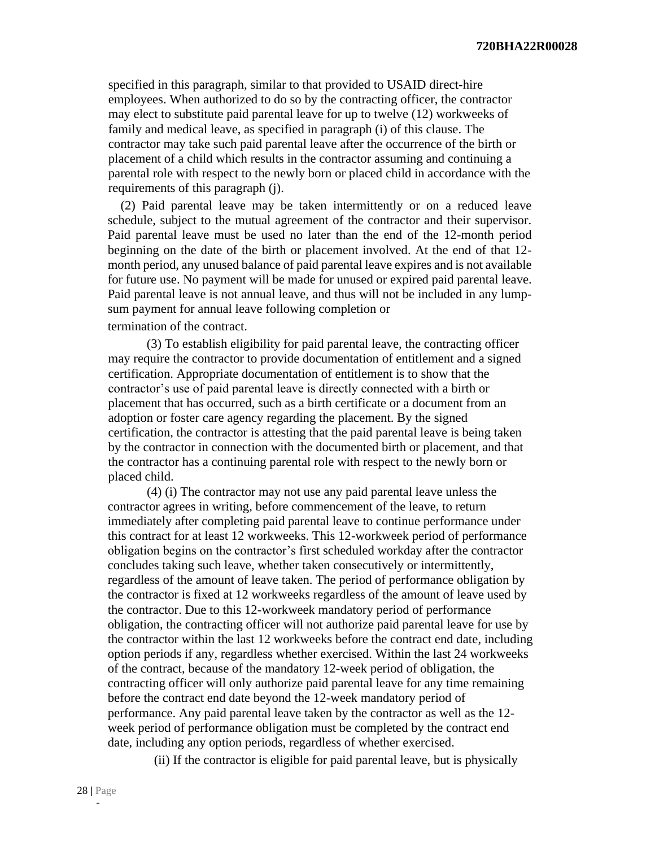specified in this paragraph, similar to that provided to USAID direct-hire employees. When authorized to do so by the contracting officer, the contractor may elect to substitute paid parental leave for up to twelve (12) workweeks of family and medical leave, as specified in paragraph (i) of this clause. The contractor may take such paid parental leave after the occurrence of the birth or placement of a child which results in the contractor assuming and continuing a parental role with respect to the newly born or placed child in accordance with the requirements of this paragraph (j).

 (2) Paid parental leave may be taken intermittently or on a reduced leave schedule, subject to the mutual agreement of the contractor and their supervisor. Paid parental leave must be used no later than the end of the 12-month period beginning on the date of the birth or placement involved. At the end of that 12 month period, any unused balance of paid parental leave expires and is not available for future use. No payment will be made for unused or expired paid parental leave. Paid parental leave is not annual leave, and thus will not be included in any lumpsum payment for annual leave following completion or

termination of the contract.

(3) To establish eligibility for paid parental leave, the contracting officer may require the contractor to provide documentation of entitlement and a signed certification. Appropriate documentation of entitlement is to show that the contractor's use of paid parental leave is directly connected with a birth or placement that has occurred, such as a birth certificate or a document from an adoption or foster care agency regarding the placement. By the signed certification, the contractor is attesting that the paid parental leave is being taken by the contractor in connection with the documented birth or placement, and that the contractor has a continuing parental role with respect to the newly born or placed child.

(4) (i) The contractor may not use any paid parental leave unless the contractor agrees in writing, before commencement of the leave, to return immediately after completing paid parental leave to continue performance under this contract for at least 12 workweeks. This 12-workweek period of performance obligation begins on the contractor's first scheduled workday after the contractor concludes taking such leave, whether taken consecutively or intermittently, regardless of the amount of leave taken. The period of performance obligation by the contractor is fixed at 12 workweeks regardless of the amount of leave used by the contractor. Due to this 12-workweek mandatory period of performance obligation, the contracting officer will not authorize paid parental leave for use by the contractor within the last 12 workweeks before the contract end date, including option periods if any, regardless whether exercised. Within the last 24 workweeks of the contract, because of the mandatory 12-week period of obligation, the contracting officer will only authorize paid parental leave for any time remaining before the contract end date beyond the 12-week mandatory period of performance. Any paid parental leave taken by the contractor as well as the 12 week period of performance obligation must be completed by the contract end date, including any option periods, regardless of whether exercised.

(ii) If the contractor is eligible for paid parental leave, but is physically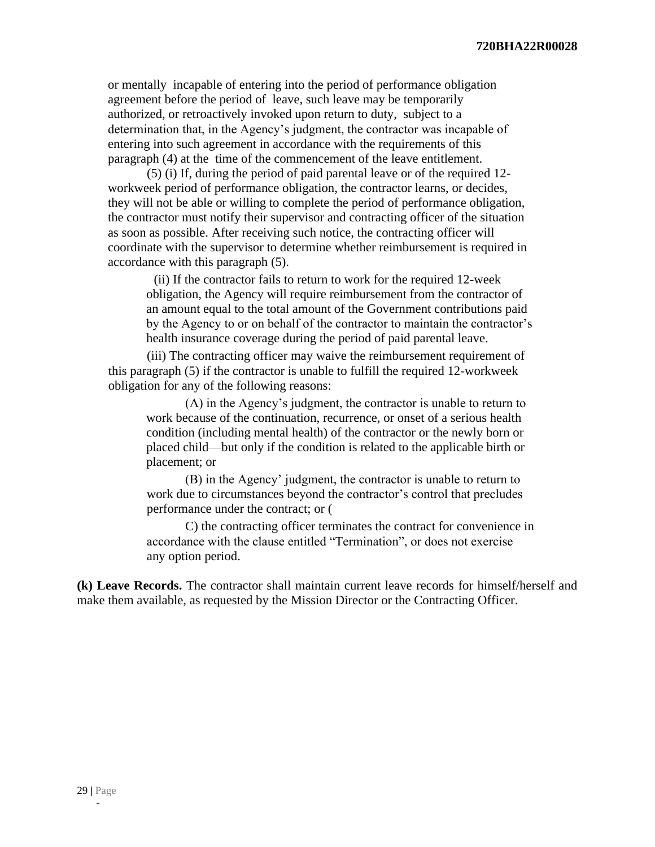or mentally incapable of entering into the period of performance obligation agreement before the period of leave, such leave may be temporarily authorized, or retroactively invoked upon return to duty, subject to a determination that, in the Agency's judgment, the contractor was incapable of entering into such agreement in accordance with the requirements of this paragraph (4) at the time of the commencement of the leave entitlement.

(5) (i) If, during the period of paid parental leave or of the required 12 workweek period of performance obligation, the contractor learns, or decides, they will not be able or willing to complete the period of performance obligation, the contractor must notify their supervisor and contracting officer of the situation as soon as possible. After receiving such notice, the contracting officer will coordinate with the supervisor to determine whether reimbursement is required in accordance with this paragraph (5).

(ii) If the contractor fails to return to work for the required 12-week obligation, the Agency will require reimbursement from the contractor of an amount equal to the total amount of the Government contributions paid by the Agency to or on behalf of the contractor to maintain the contractor's health insurance coverage during the period of paid parental leave.

(iii) The contracting officer may waive the reimbursement requirement of this paragraph (5) if the contractor is unable to fulfill the required 12-workweek obligation for any of the following reasons:

(A) in the Agency's judgment, the contractor is unable to return to work because of the continuation, recurrence, or onset of a serious health condition (including mental health) of the contractor or the newly born or placed child—but only if the condition is related to the applicable birth or placement; or

(B) in the Agency' judgment, the contractor is unable to return to work due to circumstances beyond the contractor's control that precludes performance under the contract; or (

C) the contracting officer terminates the contract for convenience in accordance with the clause entitled "Termination", or does not exercise any option period.

**(k) Leave Records.** The contractor shall maintain current leave records for himself/herself and make them available, as requested by the Mission Director or the Contracting Officer.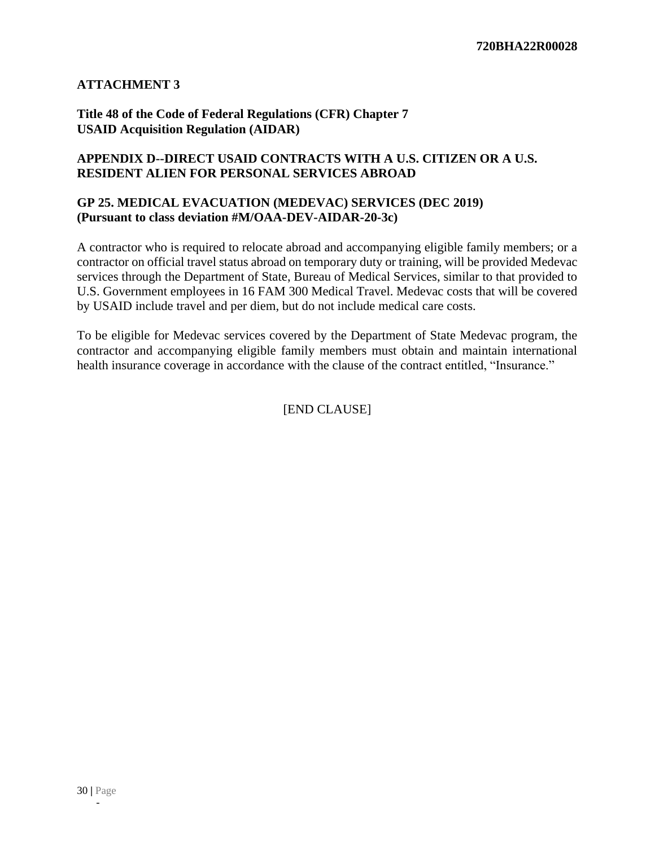# **ATTACHMENT 3**

### **Title 48 of the Code of Federal Regulations (CFR) Chapter 7 USAID Acquisition Regulation (AIDAR)**

### **APPENDIX D--DIRECT USAID CONTRACTS WITH A U.S. CITIZEN OR A U.S. RESIDENT ALIEN FOR PERSONAL SERVICES ABROAD**

## **GP 25. MEDICAL EVACUATION (MEDEVAC) SERVICES (DEC 2019) (Pursuant to class deviation #M/OAA-DEV-AIDAR-20-3c)**

A contractor who is required to relocate abroad and accompanying eligible family members; or a contractor on official travel status abroad on temporary duty or training, will be provided Medevac services through the Department of State, Bureau of Medical Services, similar to that provided to U.S. Government employees in 16 FAM 300 Medical Travel. Medevac costs that will be covered by USAID include travel and per diem, but do not include medical care costs.

To be eligible for Medevac services covered by the Department of State Medevac program, the contractor and accompanying eligible family members must obtain and maintain international health insurance coverage in accordance with the clause of the contract entitled, "Insurance."

# [END CLAUSE]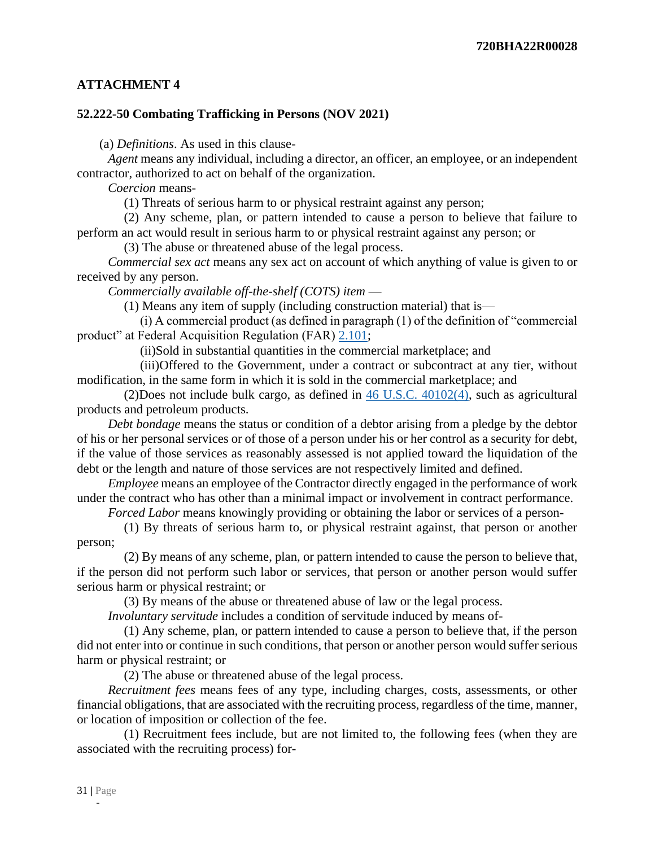### **ATTACHMENT 4**

#### **52.222-50 Combating Trafficking in Persons (NOV 2021)**

(a) *Definitions*. As used in this clause-

 *Agent* means any individual, including a director, an officer, an employee, or an independent contractor, authorized to act on behalf of the organization.

*Coercion* means-

(1) Threats of serious harm to or physical restraint against any person;

 (2) Any scheme, plan, or pattern intended to cause a person to believe that failure to perform an act would result in serious harm to or physical restraint against any person; or

(3) The abuse or threatened abuse of the legal process.

 *Commercial sex act* means any sex act on account of which anything of value is given to or received by any person.

*Commercially available off-the-shelf (COTS) item* —

(1) Means any item of supply (including construction material) that is—

 (i) A commercial product (as defined in paragraph (1) of the definition of "commercial product" at Federal Acquisition Regulation (FAR) [2.101;](https://www.acquisition.gov/far/2.101#FAR_2_101)

(ii)Sold in substantial quantities in the commercial marketplace; and

 (iii)Offered to the Government, under a contract or subcontract at any tier, without modification, in the same form in which it is sold in the commercial marketplace; and

 (2)Does not include bulk cargo, as defined in [46 U.S.C. 40102\(4\),](http://uscode.house.gov/browse.xhtml;jsessionid=114A3287C7B3359E597506A31FC855B3) such as agricultural products and petroleum products.

 *Debt bondage* means the status or condition of a debtor arising from a pledge by the debtor of his or her personal services or of those of a person under his or her control as a security for debt, if the value of those services as reasonably assessed is not applied toward the liquidation of the debt or the length and nature of those services are not respectively limited and defined.

 *Employee* means an employee of the Contractor directly engaged in the performance of work under the contract who has other than a minimal impact or involvement in contract performance.

*Forced Labor* means knowingly providing or obtaining the labor or services of a person-

 (1) By threats of serious harm to, or physical restraint against, that person or another person;

 (2) By means of any scheme, plan, or pattern intended to cause the person to believe that, if the person did not perform such labor or services, that person or another person would suffer serious harm or physical restraint; or

(3) By means of the abuse or threatened abuse of law or the legal process.

*Involuntary servitude* includes a condition of servitude induced by means of-

 (1) Any scheme, plan, or pattern intended to cause a person to believe that, if the person did not enter into or continue in such conditions, that person or another person would suffer serious harm or physical restraint; or

(2) The abuse or threatened abuse of the legal process.

 *Recruitment fees* means fees of any type, including charges, costs, assessments, or other financial obligations, that are associated with the recruiting process, regardless of the time, manner, or location of imposition or collection of the fee.

 (1) Recruitment fees include, but are not limited to, the following fees (when they are associated with the recruiting process) for-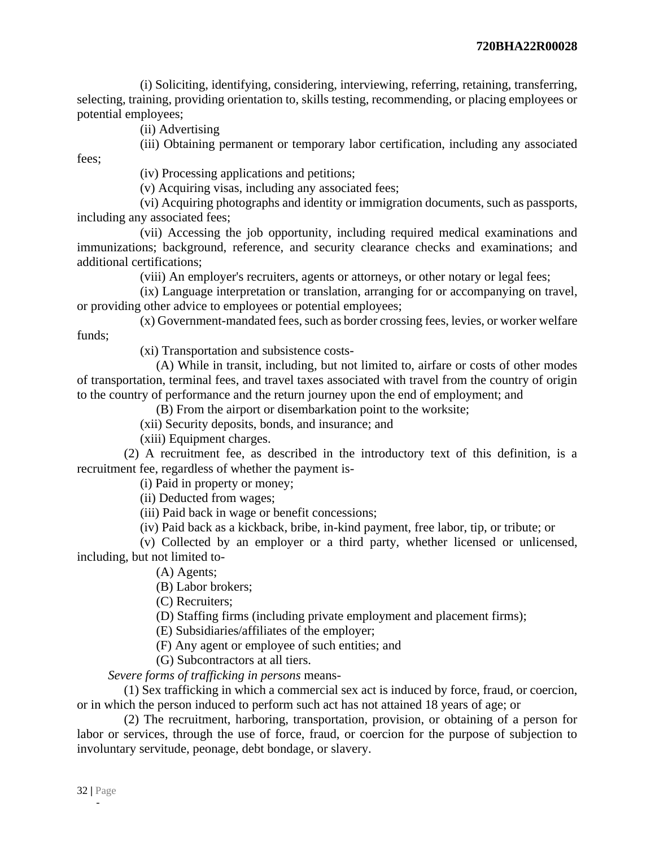(i) Soliciting, identifying, considering, interviewing, referring, retaining, transferring, selecting, training, providing orientation to, skills testing, recommending, or placing employees or potential employees;

(ii) Advertising

fees;

(iii) Obtaining permanent or temporary labor certification, including any associated

(iv) Processing applications and petitions;

(v) Acquiring visas, including any associated fees;

 (vi) Acquiring photographs and identity or immigration documents, such as passports, including any associated fees;

 (vii) Accessing the job opportunity, including required medical examinations and immunizations; background, reference, and security clearance checks and examinations; and additional certifications;

(viii) An employer's recruiters, agents or attorneys, or other notary or legal fees;

 (ix) Language interpretation or translation, arranging for or accompanying on travel, or providing other advice to employees or potential employees;

 (x) Government-mandated fees, such as border crossing fees, levies, or worker welfare funds;

(xi) Transportation and subsistence costs-

 (A) While in transit, including, but not limited to, airfare or costs of other modes of transportation, terminal fees, and travel taxes associated with travel from the country of origin to the country of performance and the return journey upon the end of employment; and

(B) From the airport or disembarkation point to the worksite;

(xii) Security deposits, bonds, and insurance; and

(xiii) Equipment charges.

 (2) A recruitment fee, as described in the introductory text of this definition, is a recruitment fee, regardless of whether the payment is-

(i) Paid in property or money;

(ii) Deducted from wages;

(iii) Paid back in wage or benefit concessions;

(iv) Paid back as a kickback, bribe, in-kind payment, free labor, tip, or tribute; or

 (v) Collected by an employer or a third party, whether licensed or unlicensed, including, but not limited to-

(A) Agents;

(B) Labor brokers;

(C) Recruiters;

(D) Staffing firms (including private employment and placement firms);

(E) Subsidiaries/affiliates of the employer;

(F) Any agent or employee of such entities; and

(G) Subcontractors at all tiers.

*Severe forms of trafficking in persons* means-

 (1) Sex trafficking in which a commercial sex act is induced by force, fraud, or coercion, or in which the person induced to perform such act has not attained 18 years of age; or

 (2) The recruitment, harboring, transportation, provision, or obtaining of a person for labor or services, through the use of force, fraud, or coercion for the purpose of subjection to involuntary servitude, peonage, debt bondage, or slavery.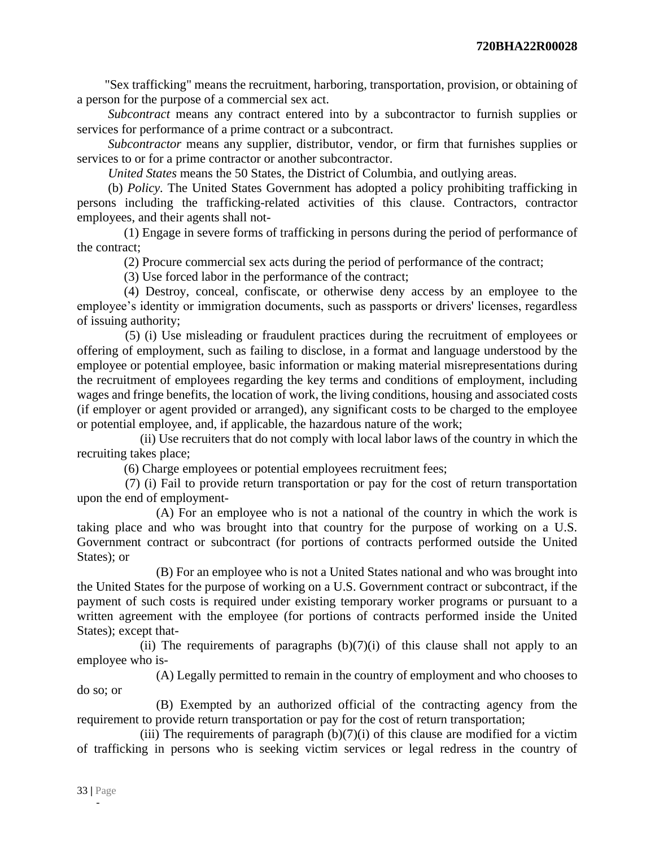"Sex trafficking" means the recruitment, harboring, transportation, provision, or obtaining of a person for the purpose of a commercial sex act.

 *Subcontract* means any contract entered into by a subcontractor to furnish supplies or services for performance of a prime contract or a subcontract.

 *Subcontractor* means any supplier, distributor, vendor, or firm that furnishes supplies or services to or for a prime contractor or another subcontractor.

*United States* means the 50 States, the District of Columbia, and outlying areas.

 (b) *Policy.* The United States Government has adopted a policy prohibiting trafficking in persons including the trafficking-related activities of this clause. Contractors, contractor employees, and their agents shall not-

 (1) Engage in severe forms of trafficking in persons during the period of performance of the contract;

(2) Procure commercial sex acts during the period of performance of the contract;

(3) Use forced labor in the performance of the contract;

 (4) Destroy, conceal, confiscate, or otherwise deny access by an employee to the employee's identity or immigration documents, such as passports or drivers' licenses, regardless of issuing authority;

 (5) (i) Use misleading or fraudulent practices during the recruitment of employees or offering of employment, such as failing to disclose, in a format and language understood by the employee or potential employee, basic information or making material misrepresentations during the recruitment of employees regarding the key terms and conditions of employment, including wages and fringe benefits, the location of work, the living conditions, housing and associated costs (if employer or agent provided or arranged), any significant costs to be charged to the employee or potential employee, and, if applicable, the hazardous nature of the work;

 (ii) Use recruiters that do not comply with local labor laws of the country in which the recruiting takes place;

(6) Charge employees or potential employees recruitment fees;

 (7) (i) Fail to provide return transportation or pay for the cost of return transportation upon the end of employment-

 (A) For an employee who is not a national of the country in which the work is taking place and who was brought into that country for the purpose of working on a U.S. Government contract or subcontract (for portions of contracts performed outside the United States); or

 (B) For an employee who is not a United States national and who was brought into the United States for the purpose of working on a U.S. Government contract or subcontract, if the payment of such costs is required under existing temporary worker programs or pursuant to a written agreement with the employee (for portions of contracts performed inside the United States); except that-

(ii) The requirements of paragraphs  $(b)(7)(i)$  of this clause shall not apply to an employee who is-

 (A) Legally permitted to remain in the country of employment and who chooses to do so; or

 (B) Exempted by an authorized official of the contracting agency from the requirement to provide return transportation or pay for the cost of return transportation;

(iii) The requirements of paragraph  $(b)(7)(i)$  of this clause are modified for a victim of trafficking in persons who is seeking victim services or legal redress in the country of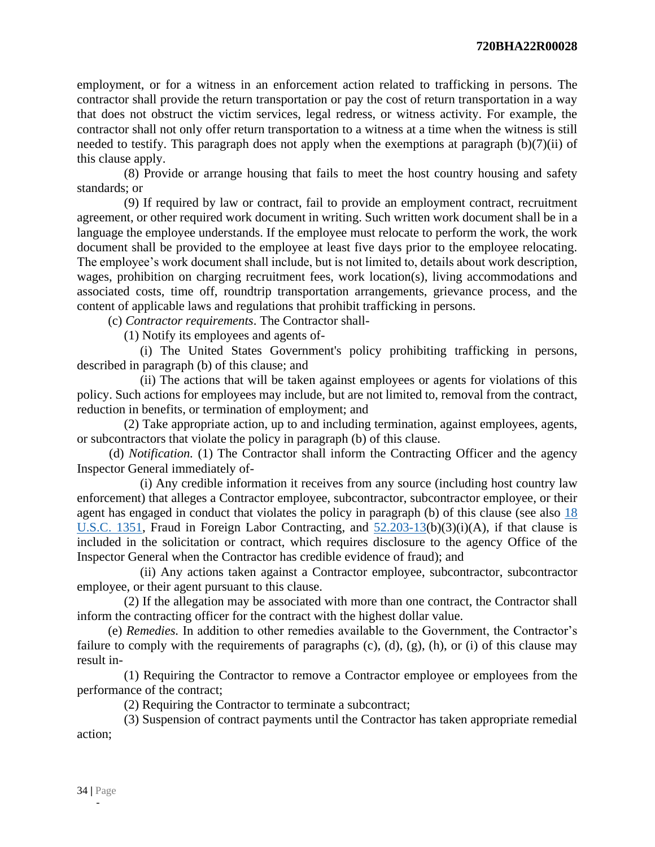employment, or for a witness in an enforcement action related to trafficking in persons. The contractor shall provide the return transportation or pay the cost of return transportation in a way that does not obstruct the victim services, legal redress, or witness activity. For example, the contractor shall not only offer return transportation to a witness at a time when the witness is still needed to testify. This paragraph does not apply when the exemptions at paragraph  $(b)(7)(ii)$  of this clause apply.

 (8) Provide or arrange housing that fails to meet the host country housing and safety standards; or

 (9) If required by law or contract, fail to provide an employment contract, recruitment agreement, or other required work document in writing. Such written work document shall be in a language the employee understands. If the employee must relocate to perform the work, the work document shall be provided to the employee at least five days prior to the employee relocating. The employee's work document shall include, but is not limited to, details about work description, wages, prohibition on charging recruitment fees, work location(s), living accommodations and associated costs, time off, roundtrip transportation arrangements, grievance process, and the content of applicable laws and regulations that prohibit trafficking in persons.

(c) *Contractor requirements*. The Contractor shall-

(1) Notify its employees and agents of-

 (i) The United States Government's policy prohibiting trafficking in persons, described in paragraph (b) of this clause; and

 (ii) The actions that will be taken against employees or agents for violations of this policy. Such actions for employees may include, but are not limited to, removal from the contract, reduction in benefits, or termination of employment; and

 (2) Take appropriate action, up to and including termination, against employees, agents, or subcontractors that violate the policy in paragraph (b) of this clause.

 (d) *Notification.* (1) The Contractor shall inform the Contracting Officer and the agency Inspector General immediately of-

 (i) Any credible information it receives from any source (including host country law enforcement) that alleges a Contractor employee, subcontractor, subcontractor employee, or their agent has engaged in conduct that violates the policy in paragraph (b) of this clause (see also [18](http://uscode.house.gov/browse.xhtml;jsessionid=114A3287C7B3359E597506A31FC855B3)  [U.S.C. 1351,](http://uscode.house.gov/browse.xhtml;jsessionid=114A3287C7B3359E597506A31FC855B3) Fraud in Foreign Labor Contracting, and [52.203-13\(](https://www.acquisition.gov/far/52.203-13#FAR_52_203_13)b)(3)(i)(A), if that clause is included in the solicitation or contract, which requires disclosure to the agency Office of the Inspector General when the Contractor has credible evidence of fraud); and

 (ii) Any actions taken against a Contractor employee, subcontractor, subcontractor employee, or their agent pursuant to this clause.

 (2) If the allegation may be associated with more than one contract, the Contractor shall inform the contracting officer for the contract with the highest dollar value.

 (e) *Remedies.* In addition to other remedies available to the Government, the Contractor's failure to comply with the requirements of paragraphs  $(c)$ ,  $(d)$ ,  $(g)$ ,  $(h)$ , or  $(i)$  of this clause may result in-

 (1) Requiring the Contractor to remove a Contractor employee or employees from the performance of the contract;

(2) Requiring the Contractor to terminate a subcontract;

 (3) Suspension of contract payments until the Contractor has taken appropriate remedial action;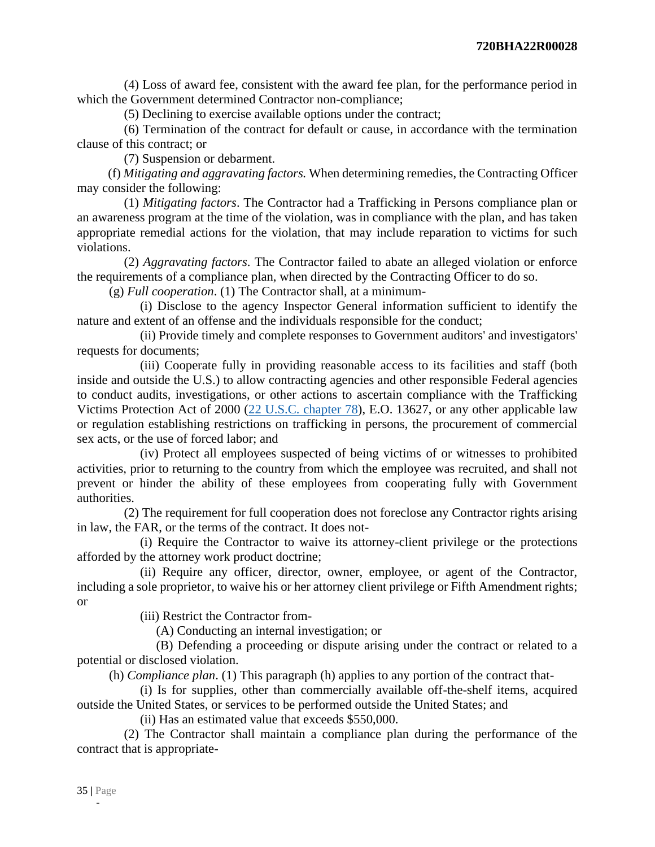(4) Loss of award fee, consistent with the award fee plan, for the performance period in which the Government determined Contractor non-compliance;

(5) Declining to exercise available options under the contract;

 (6) Termination of the contract for default or cause, in accordance with the termination clause of this contract; or

(7) Suspension or debarment.

 (f) *Mitigating and aggravating factors.* When determining remedies, the Contracting Officer may consider the following:

 (1) *Mitigating factors*. The Contractor had a Trafficking in Persons compliance plan or an awareness program at the time of the violation, was in compliance with the plan, and has taken appropriate remedial actions for the violation, that may include reparation to victims for such violations.

 (2) *Aggravating factors*. The Contractor failed to abate an alleged violation or enforce the requirements of a compliance plan, when directed by the Contracting Officer to do so.

(g) *Full cooperation*. (1) The Contractor shall, at a minimum-

 (i) Disclose to the agency Inspector General information sufficient to identify the nature and extent of an offense and the individuals responsible for the conduct;

 (ii) Provide timely and complete responses to Government auditors' and investigators' requests for documents;

 (iii) Cooperate fully in providing reasonable access to its facilities and staff (both inside and outside the U.S.) to allow contracting agencies and other responsible Federal agencies to conduct audits, investigations, or other actions to ascertain compliance with the Trafficking Victims Protection Act of 2000 [\(22 U.S.C. chapter 78\)](http://uscode.house.gov/browse.xhtml;jsessionid=114A3287C7B3359E597506A31FC855B3), E.O. 13627, or any other applicable law or regulation establishing restrictions on trafficking in persons, the procurement of commercial sex acts, or the use of forced labor; and

 (iv) Protect all employees suspected of being victims of or witnesses to prohibited activities, prior to returning to the country from which the employee was recruited, and shall not prevent or hinder the ability of these employees from cooperating fully with Government authorities.

 (2) The requirement for full cooperation does not foreclose any Contractor rights arising in law, the FAR, or the terms of the contract. It does not-

 (i) Require the Contractor to waive its attorney-client privilege or the protections afforded by the attorney work product doctrine;

 (ii) Require any officer, director, owner, employee, or agent of the Contractor, including a sole proprietor, to waive his or her attorney client privilege or Fifth Amendment rights; or

(iii) Restrict the Contractor from-

(A) Conducting an internal investigation; or

 (B) Defending a proceeding or dispute arising under the contract or related to a potential or disclosed violation.

(h) *Compliance plan*. (1) This paragraph (h) applies to any portion of the contract that-

 (i) Is for supplies, other than commercially available off-the-shelf items, acquired outside the United States, or services to be performed outside the United States; and

(ii) Has an estimated value that exceeds \$550,000.

 (2) The Contractor shall maintain a compliance plan during the performance of the contract that is appropriate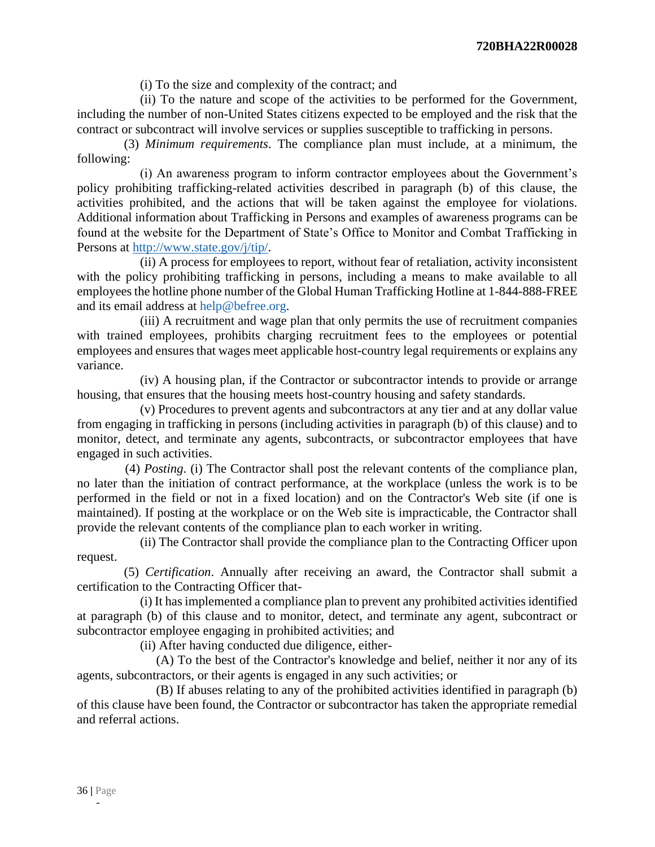(i) To the size and complexity of the contract; and

 (ii) To the nature and scope of the activities to be performed for the Government, including the number of non-United States citizens expected to be employed and the risk that the contract or subcontract will involve services or supplies susceptible to trafficking in persons.

 (3) *Minimum requirements*. The compliance plan must include, at a minimum, the following:

 (i) An awareness program to inform contractor employees about the Government's policy prohibiting trafficking-related activities described in paragraph (b) of this clause, the activities prohibited, and the actions that will be taken against the employee for violations. Additional information about Trafficking in Persons and examples of awareness programs can be found at the website for the Department of State's Office to Monitor and Combat Trafficking in Persons at [http://www.state.gov/j/tip/.](http://www.state.gov/j/tip/)

 (ii) A process for employees to report, without fear of retaliation, activity inconsistent with the policy prohibiting trafficking in persons, including a means to make available to all employees the hotline phone number of the Global Human Trafficking Hotline at 1-844-888-FREE and its email address at help@befree.org.

 (iii) A recruitment and wage plan that only permits the use of recruitment companies with trained employees, prohibits charging recruitment fees to the employees or potential employees and ensures that wages meet applicable host-country legal requirements or explains any variance.

 (iv) A housing plan, if the Contractor or subcontractor intends to provide or arrange housing, that ensures that the housing meets host-country housing and safety standards.

 (v) Procedures to prevent agents and subcontractors at any tier and at any dollar value from engaging in trafficking in persons (including activities in paragraph (b) of this clause) and to monitor, detect, and terminate any agents, subcontracts, or subcontractor employees that have engaged in such activities.

 (4) *Posting*. (i) The Contractor shall post the relevant contents of the compliance plan, no later than the initiation of contract performance, at the workplace (unless the work is to be performed in the field or not in a fixed location) and on the Contractor's Web site (if one is maintained). If posting at the workplace or on the Web site is impracticable, the Contractor shall provide the relevant contents of the compliance plan to each worker in writing.

 (ii) The Contractor shall provide the compliance plan to the Contracting Officer upon request.

 (5) *Certification*. Annually after receiving an award, the Contractor shall submit a certification to the Contracting Officer that-

 (i) It has implemented a compliance plan to prevent any prohibited activities identified at paragraph (b) of this clause and to monitor, detect, and terminate any agent, subcontract or subcontractor employee engaging in prohibited activities; and

(ii) After having conducted due diligence, either-

 (A) To the best of the Contractor's knowledge and belief, neither it nor any of its agents, subcontractors, or their agents is engaged in any such activities; or

 (B) If abuses relating to any of the prohibited activities identified in paragraph (b) of this clause have been found, the Contractor or subcontractor has taken the appropriate remedial and referral actions.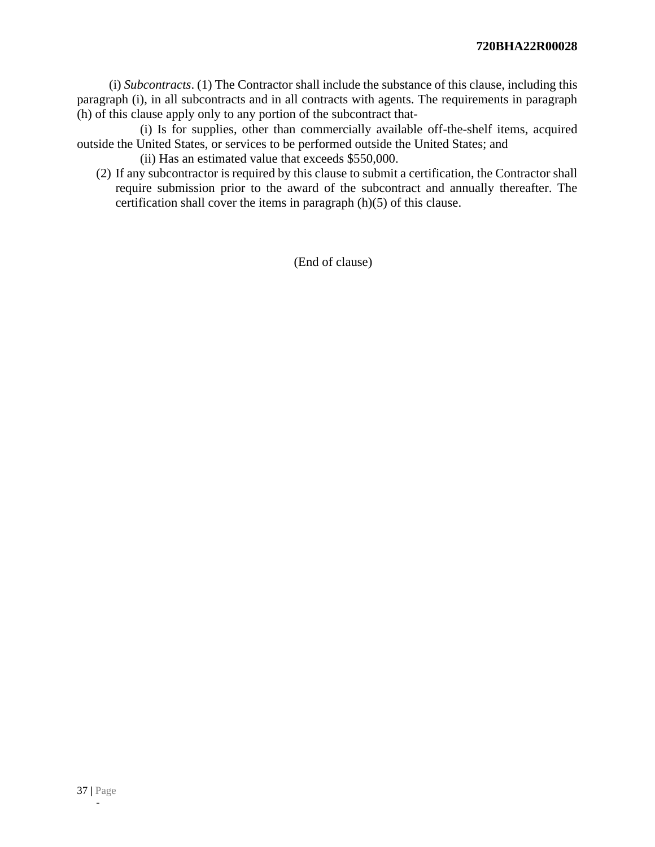(i) *Subcontracts*. (1) The Contractor shall include the substance of this clause, including this paragraph (i), in all subcontracts and in all contracts with agents. The requirements in paragraph (h) of this clause apply only to any portion of the subcontract that-

 (i) Is for supplies, other than commercially available off-the-shelf items, acquired outside the United States, or services to be performed outside the United States; and

(ii) Has an estimated value that exceeds \$550,000.

(2) If any subcontractor is required by this clause to submit a certification, the Contractor shall require submission prior to the award of the subcontract and annually thereafter. The certification shall cover the items in paragraph (h)(5) of this clause.

(End of clause)